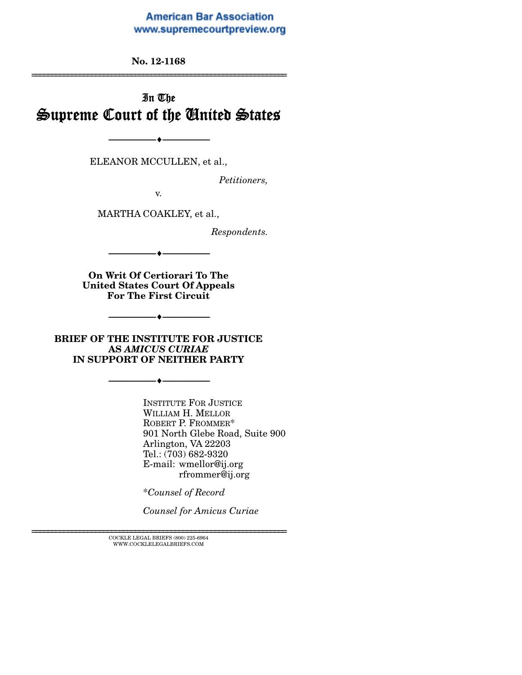#### **American Bar Association** www.supremecourtpreview.org

**No. 12-1168**  ======================[==========================================](www.supremecourtpreview.org) 

# In The Supreme Court of the United States

ELEANOR MCCULLEN, et al.,

--------------------------------- ---------------------------------

*Petitioners,* 

v.

MARTHA COAKLEY, et al.,

*Respondents.* 

--------------------------------- ---------------------------------

**On Writ Of Certiorari To The United States Court Of Appeals For The First Circuit** 

 $\overline{\phantom{a}}$   $\overline{\phantom{a}}$ 

**BRIEF OF THE INSTITUTE FOR JUSTICE AS** *AMICUS CURIAE*  **IN SUPPORT OF NEITHER PARTY** 

--------------------------------- ---------------------------------

INSTITUTE FOR JUSTICE WILLIAM H. MELLOR ROBERT P. FROMMER\* 901 North Glebe Road, Suite 900 Arlington, VA 22203 Tel.: (703) 682-9320 E-mail: wmellor@ij.org rfrommer@ij.org

\**Counsel of Record*

*Counsel for Amicus Curiae* 

 $\textsc{COCKLE}$  LEGAL BRIEFS (800) 225-6964 WWW.COCKLELEGALBRIEFS.COM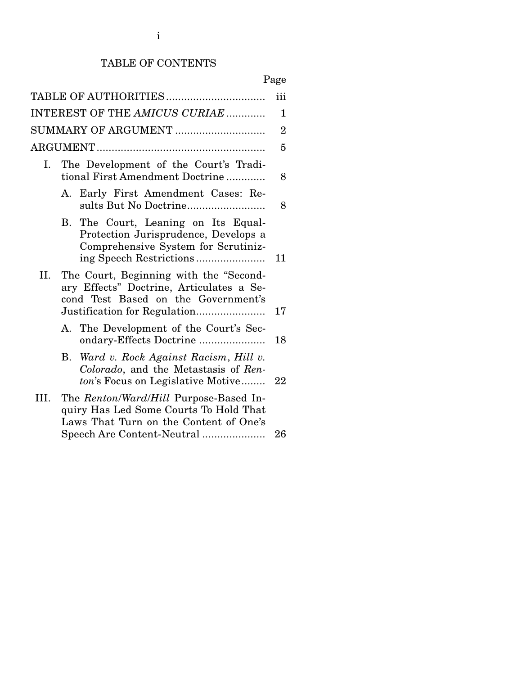## TABLE OF CONTENTS

|--|

| INTEREST OF THE AMICUS CURIAE |                                                                          |                                                                                                                            |                |  |  |
|-------------------------------|--------------------------------------------------------------------------|----------------------------------------------------------------------------------------------------------------------------|----------------|--|--|
| SUMMARY OF ARGUMENT           |                                                                          |                                                                                                                            | $\overline{2}$ |  |  |
|                               |                                                                          |                                                                                                                            | 5              |  |  |
| Ι.                            | The Development of the Court's Tradi-<br>tional First Amendment Doctrine |                                                                                                                            |                |  |  |
|                               |                                                                          | A. Early First Amendment Cases: Re-<br>sults But No Doctrine                                                               | 8              |  |  |
|                               |                                                                          | B. The Court, Leaning on Its Equal-<br>Protection Jurisprudence, Develops a<br>Comprehensive System for Scrutiniz-         | 11             |  |  |
| II.                           |                                                                          | The Court, Beginning with the "Second-<br>ary Effects" Doctrine, Articulates a Se-<br>cond Test Based on the Government's  |                |  |  |
|                               |                                                                          | A. The Development of the Court's Sec-<br>ondary-Effects Doctrine                                                          | 18             |  |  |
|                               | B.                                                                       | Ward v. Rock Against Racism, Hill v.<br>Colorado, and the Metastasis of Ren-<br>ton's Focus on Legislative Motive          | 22             |  |  |
| III.                          |                                                                          | The Renton/Ward/Hill Purpose-Based In-<br>quiry Has Led Some Courts To Hold That<br>Laws That Turn on the Content of One's |                |  |  |
|                               |                                                                          | Speech Are Content-Neutral                                                                                                 | 26             |  |  |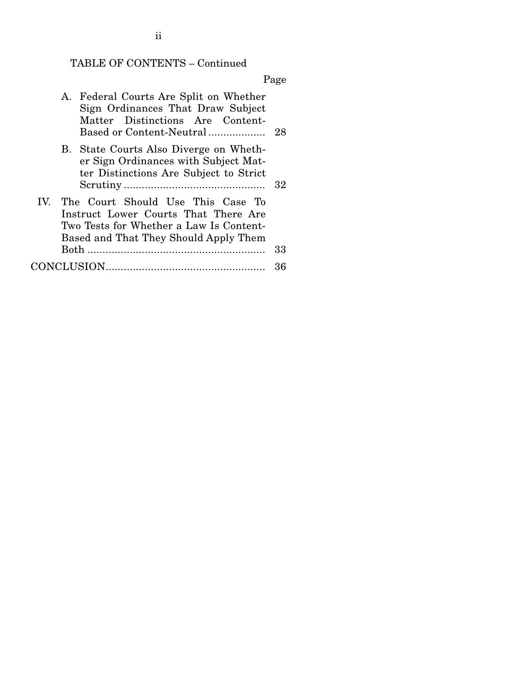# TABLE OF CONTENTS – Continued

Page

| A. Federal Courts Are Split on Whether<br>Sign Ordinances That Draw Subject<br>Matter Distinctions Are Content-<br>Based or Content-Neutral                       | - 28 |
|-------------------------------------------------------------------------------------------------------------------------------------------------------------------|------|
| B. State Courts Also Diverge on Wheth-<br>er Sign Ordinances with Subject Mat-<br>ter Distinctions Are Subject to Strict                                          | -32  |
| IV. The Court Should Use This Case To<br>Instruct Lower Courts That There Are<br>Two Tests for Whether a Law Is Content-<br>Based and That They Should Apply Them |      |
| Both                                                                                                                                                              | 33   |
|                                                                                                                                                                   | 36   |

ii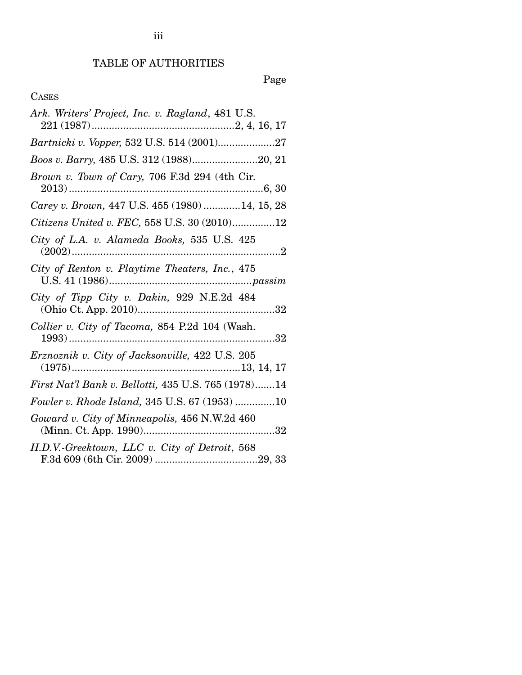# TABLE OF AUTHORITIES

Page

## CASES

| Ark. Writers' Project, Inc. v. Ragland, 481 U.S.                  |
|-------------------------------------------------------------------|
| Bartnicki v. Vopper, 532 U.S. 514 (2001)27                        |
| Boos v. Barry, 485 U.S. 312 (1988)20, 21                          |
| Brown v. Town of Cary, 706 F.3d 294 (4th Cir.                     |
| Carey v. Brown, 447 U.S. 455 (1980)  14, 15, 28                   |
| Citizens United v. FEC, 558 U.S. 30 (2010)12                      |
| City of L.A. v. Alameda Books, 535 U.S. 425                       |
| City of Renton v. Playtime Theaters, Inc., 475                    |
| City of Tipp City v. Dakin, 929 N.E.2d 484                        |
| Collier v. City of Tacoma, 854 P.2d 104 (Wash.                    |
| $Erznoznik v. City of Jacksonville, 422 U.S. 205(1975)13, 14, 17$ |
| First Nat'l Bank v. Bellotti, 435 U.S. 765 (1978)14               |
| Fowler v. Rhode Island, 345 U.S. 67 (1953) 10                     |
| Goward v. City of Minneapolis, 456 N.W.2d 460                     |
| H.D.V.-Greektown, LLC v. City of Detroit, 568                     |

iii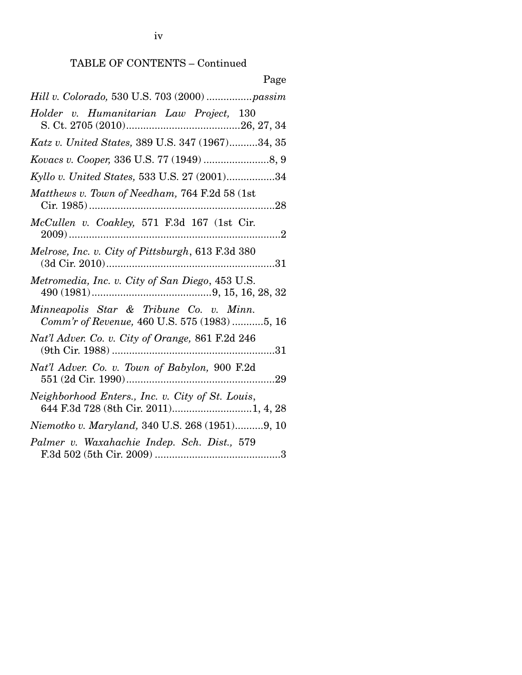iv

# TABLE OF CONTENTS – Continued

| 1 age                                                                                    |
|------------------------------------------------------------------------------------------|
| Hill v. Colorado, 530 U.S. 703 (2000) passim                                             |
| Holder v. Humanitarian Law Project, 130                                                  |
| Katz v. United States, 389 U.S. 347 (1967)34, 35                                         |
| Kovacs v. Cooper, 336 U.S. 77 (1949) 8, 9                                                |
| Kyllo v. United States, 533 U.S. 27 (2001)34                                             |
| Matthews v. Town of Needham, 764 F.2d 58 (1st                                            |
| McCullen v. Coakley, 571 F.3d 167 (1st Cir.                                              |
| Melrose, Inc. v. City of Pittsburgh, 613 F.3d 380                                        |
| Metromedia, Inc. v. City of San Diego, 453 U.S.                                          |
| Minneapolis Star & Tribune Co. v. Minn.<br>Comm'r of Revenue, 460 U.S. 575 (1983)5, 16   |
| Nat'l Adver. Co. v. City of Orange, 861 F.2d 246                                         |
| Nat'l Adver. Co. v. Town of Babylon, 900 F.2d                                            |
| Neighborhood Enters., Inc. v. City of St. Louis,<br>644 F.3d 728 (8th Cir. 2011)1, 4, 28 |
| Niemotko v. Maryland, 340 U.S. 268 (1951)9, 10                                           |
| Palmer v. Waxahachie Indep. Sch. Dist., 579                                              |

## Page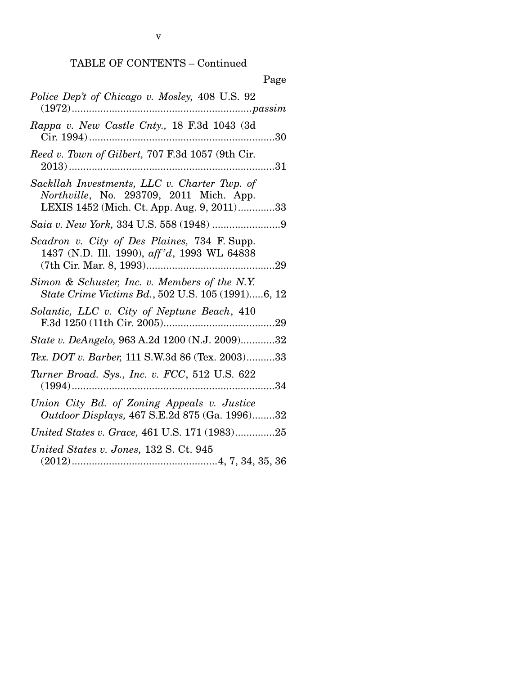# TABLE OF CONTENTS – Continued

| Page                                                                                                                                  |
|---------------------------------------------------------------------------------------------------------------------------------------|
| Police Dep't of Chicago v. Mosley, 408 U.S. 92                                                                                        |
| Rappa v. New Castle Cnty., 18 F.3d 1043 (3d                                                                                           |
| Reed v. Town of Gilbert, 707 F.3d 1057 (9th Cir.                                                                                      |
| Sackllah Investments, LLC v. Charter Twp. of<br>Northville, No. 293709, 2011 Mich. App.<br>LEXIS 1452 (Mich. Ct. App. Aug. 9, 2011)33 |
|                                                                                                                                       |
| Scadron v. City of Des Plaines, 734 F. Supp.<br>1437 (N.D. Ill. 1990), aff'd, 1993 WL 64838                                           |
| Simon & Schuster, Inc. v. Members of the N.Y.<br>State Crime Victims Bd., 502 U.S. 105 (1991)6, 12                                    |
| Solantic, LLC v. City of Neptune Beach, 410                                                                                           |
| State v. DeAngelo, 963 A.2d 1200 (N.J. 2009)32                                                                                        |
| Tex. DOT v. Barber, 111 S.W.3d 86 (Tex. 2003)33                                                                                       |
| Turner Broad. Sys., Inc. v. FCC, 512 U.S. 622                                                                                         |
| Union City Bd. of Zoning Appeals v. Justice<br>Outdoor Displays, 467 S.E.2d 875 (Ga. 1996)32                                          |
| United States v. Grace, 461 U.S. 171 (1983)25                                                                                         |
| United States v. Jones, 132 S. Ct. 945<br>$(2012) \dots 12012$                                                                        |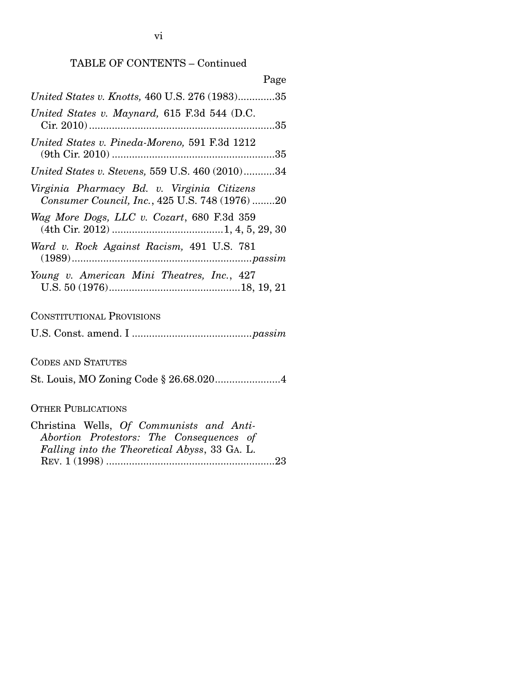| Page                                                                                         |
|----------------------------------------------------------------------------------------------|
| United States v. Knotts, 460 U.S. 276 (1983)35                                               |
| United States v. Maynard, 615 F.3d 544 (D.C.                                                 |
| United States v. Pineda-Moreno, 591 F.3d 1212                                                |
| United States v. Stevens, 559 U.S. 460 (2010)34                                              |
| Virginia Pharmacy Bd. v. Virginia Citizens<br>Consumer Council, Inc., 425 U.S. 748 (1976) 20 |
| Wag More Dogs, LLC v. Cozart, 680 F.3d 359                                                   |
| Ward v. Rock Against Racism, 491 U.S. 781                                                    |
| Young v. American Mini Theatres, Inc., 427                                                   |

CONSTITUTIONAL PROVISIONS

U.S. Const. amend. I .......................................... *passim*

CODES AND STATUTES

St. Louis, MO Zoning Code § 26.68.020 ....................... 4

## OTHER PUBLICATIONS

| Christina Wells, Of Communists and Anti-      |  |
|-----------------------------------------------|--|
| Abortion Protestors: The Consequences of      |  |
| Falling into the Theoretical Abyss, 33 GA. L. |  |
|                                               |  |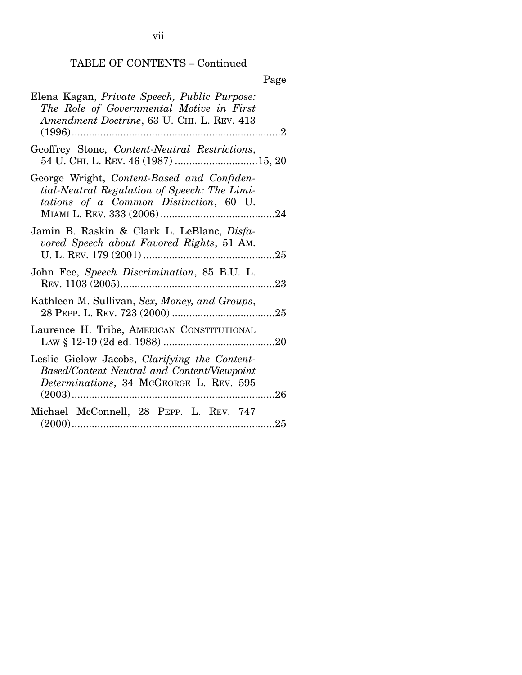TABLE OF CONTENTS – Continued

|                                                                                                                                                    | Page |
|----------------------------------------------------------------------------------------------------------------------------------------------------|------|
| Elena Kagan, Private Speech, Public Purpose:<br>The Role of Governmental Motive in First<br>Amendment Doctrine, 63 U. CHI. L. REV. 413<br>$(1996)$ |      |
| Geoffrey Stone, Content-Neutral Restrictions,<br>54 U. CHI. L. REV. 46 (1987) 15, 20                                                               |      |
| George Wright, Content-Based and Confiden-<br>tial-Neutral Regulation of Speech: The Limi-<br>tations of a Common Distinction, 60 U.               |      |
| Jamin B. Raskin & Clark L. LeBlanc, Disfa-<br>vored Speech about Favored Rights, 51 AM.                                                            |      |
| John Fee, Speech Discrimination, 85 B.U. L.                                                                                                        |      |
| Kathleen M. Sullivan, Sex, Money, and Groups,                                                                                                      |      |
| Laurence H. Tribe, AMERICAN CONSTITUTIONAL                                                                                                         |      |
| Leslie Gielow Jacobs, Clarifying the Content-<br>Based/Content Neutral and Content/Viewpoint<br>Determinations, 34 McGEORGE L. REV. 595            |      |
|                                                                                                                                                    |      |

| Michael McConnell, 28 PEPP. L. REV. 747 |  |  |  |
|-----------------------------------------|--|--|--|
|                                         |  |  |  |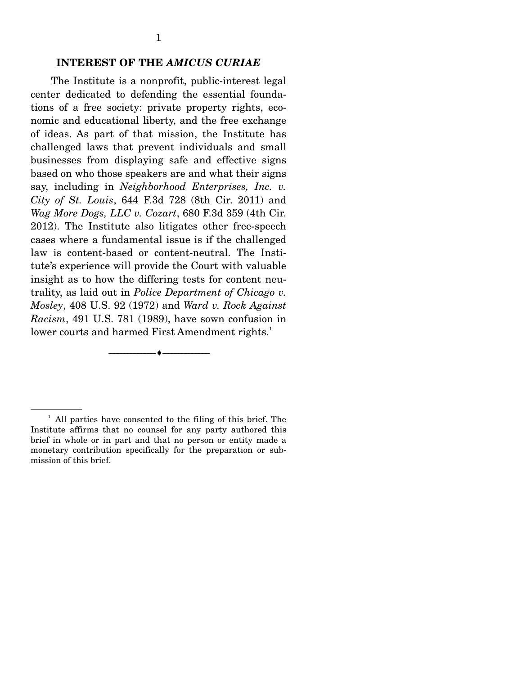#### **INTEREST OF THE** *AMICUS CURIAE*

 The Institute is a nonprofit, public-interest legal center dedicated to defending the essential foundations of a free society: private property rights, economic and educational liberty, and the free exchange of ideas. As part of that mission, the Institute has challenged laws that prevent individuals and small businesses from displaying safe and effective signs based on who those speakers are and what their signs say, including in *Neighborhood Enterprises, Inc. v. City of St. Louis*, 644 F.3d 728 (8th Cir. 2011) and *Wag More Dogs, LLC v. Cozart*, 680 F.3d 359 (4th Cir. 2012). The Institute also litigates other free-speech cases where a fundamental issue is if the challenged law is content-based or content-neutral. The Institute's experience will provide the Court with valuable insight as to how the differing tests for content neutrality, as laid out in *Police Department of Chicago v. Mosley*, 408 U.S. 92 (1972) and *Ward v. Rock Against Racism*, 491 U.S. 781 (1989), have sown confusion in lower courts and harmed First Amendment rights. $^1$ 

--------------------------------- ---------------------------------

<sup>&</sup>lt;sup>1</sup> All parties have consented to the filing of this brief. The Institute affirms that no counsel for any party authored this brief in whole or in part and that no person or entity made a monetary contribution specifically for the preparation or submission of this brief.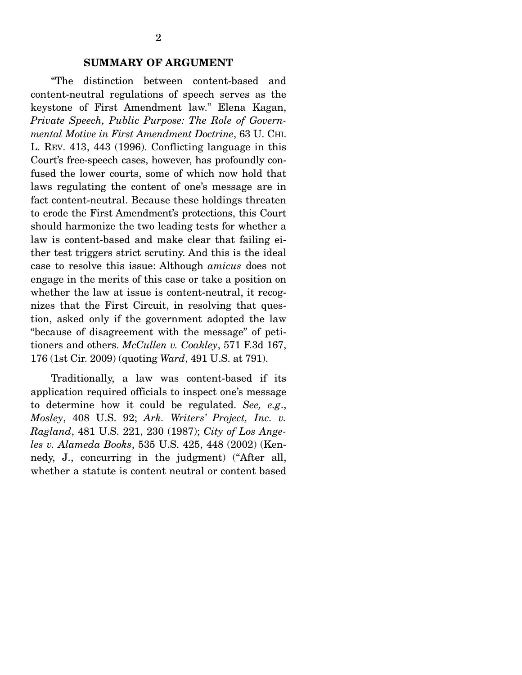#### **SUMMARY OF ARGUMENT**

"The distinction between content-based and content-neutral regulations of speech serves as the keystone of First Amendment law." Elena Kagan, *Private Speech, Public Purpose: The Role of Governmental Motive in First Amendment Doctrine*, 63 U. CHI. L. REV. 413, 443 (1996). Conflicting language in this Court's free-speech cases, however, has profoundly confused the lower courts, some of which now hold that laws regulating the content of one's message are in fact content-neutral. Because these holdings threaten to erode the First Amendment's protections, this Court should harmonize the two leading tests for whether a law is content-based and make clear that failing either test triggers strict scrutiny. And this is the ideal case to resolve this issue: Although *amicus* does not engage in the merits of this case or take a position on whether the law at issue is content-neutral, it recognizes that the First Circuit, in resolving that question, asked only if the government adopted the law "because of disagreement with the message" of petitioners and others. *McCullen v. Coakley*, 571 F.3d 167, 176 (1st Cir. 2009) (quoting *Ward*, 491 U.S. at 791).

 Traditionally, a law was content-based if its application required officials to inspect one's message to determine how it could be regulated. *See, e.g*., *Mosley*, 408 U.S. 92; *Ark. Writers' Project, Inc. v. Ragland*, 481 U.S. 221, 230 (1987); *City of Los Angeles v. Alameda Books*, 535 U.S. 425, 448 (2002) (Kennedy, J., concurring in the judgment) ("After all, whether a statute is content neutral or content based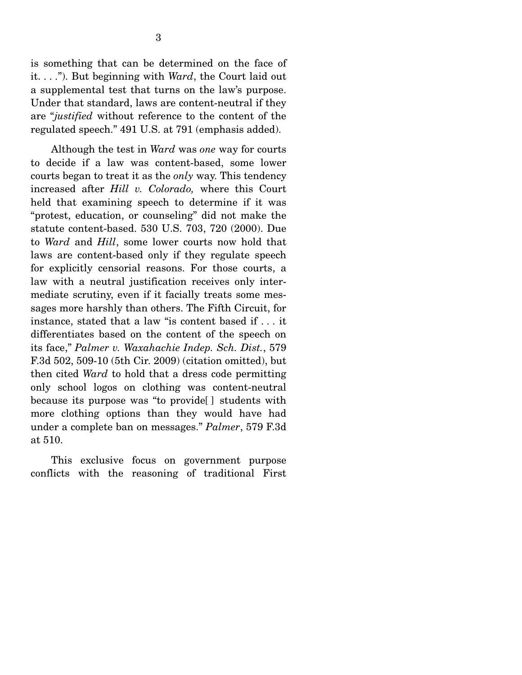is something that can be determined on the face of it. . . ."). But beginning with *Ward*, the Court laid out a supplemental test that turns on the law's purpose. Under that standard, laws are content-neutral if they are "*justified* without reference to the content of the regulated speech." 491 U.S. at 791 (emphasis added).

 Although the test in *Ward* was *one* way for courts to decide if a law was content-based, some lower courts began to treat it as the *only* way. This tendency increased after *Hill v. Colorado,* where this Court held that examining speech to determine if it was "protest, education, or counseling" did not make the statute content-based. 530 U.S. 703, 720 (2000). Due to *Ward* and *Hill*, some lower courts now hold that laws are content-based only if they regulate speech for explicitly censorial reasons. For those courts, a law with a neutral justification receives only intermediate scrutiny, even if it facially treats some messages more harshly than others. The Fifth Circuit, for instance, stated that a law "is content based if . . . it differentiates based on the content of the speech on its face," *Palmer v. Waxahachie Indep. Sch. Dist.*, 579 F.3d 502, 509-10 (5th Cir. 2009) (citation omitted), but then cited *Ward* to hold that a dress code permitting only school logos on clothing was content-neutral because its purpose was "to provide[ ] students with more clothing options than they would have had under a complete ban on messages." *Palmer*, 579 F.3d at 510.

 This exclusive focus on government purpose conflicts with the reasoning of traditional First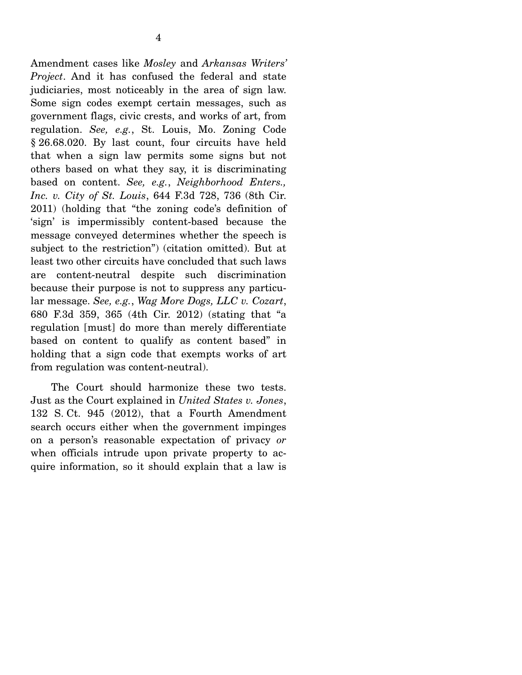Amendment cases like *Mosley* and *Arkansas Writers' Project*. And it has confused the federal and state judiciaries, most noticeably in the area of sign law. Some sign codes exempt certain messages, such as government flags, civic crests, and works of art, from regulation. *See, e.g.*, St. Louis, Mo. Zoning Code § 26.68.020. By last count, four circuits have held that when a sign law permits some signs but not others based on what they say, it is discriminating based on content. *See, e.g.*, *Neighborhood Enters., Inc. v. City of St. Louis*, 644 F.3d 728, 736 (8th Cir. 2011) (holding that "the zoning code's definition of 'sign' is impermissibly content-based because the message conveyed determines whether the speech is subject to the restriction") (citation omitted). But at least two other circuits have concluded that such laws are content-neutral despite such discrimination because their purpose is not to suppress any particular message. *See, e.g.*, *Wag More Dogs, LLC v. Cozart*, 680 F.3d 359, 365 (4th Cir. 2012) (stating that "a regulation [must] do more than merely differentiate based on content to qualify as content based" in holding that a sign code that exempts works of art from regulation was content-neutral).

 The Court should harmonize these two tests. Just as the Court explained in *United States v. Jones*, 132 S. Ct. 945 (2012), that a Fourth Amendment search occurs either when the government impinges on a person's reasonable expectation of privacy *or* when officials intrude upon private property to acquire information, so it should explain that a law is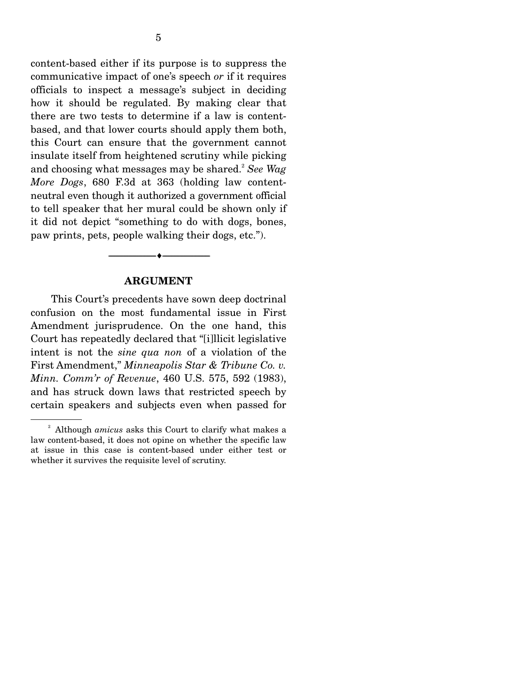content-based either if its purpose is to suppress the communicative impact of one's speech *or* if it requires officials to inspect a message's subject in deciding how it should be regulated. By making clear that there are two tests to determine if a law is contentbased, and that lower courts should apply them both, this Court can ensure that the government cannot insulate itself from heightened scrutiny while picking and choosing what messages may be shared.<sup>2</sup> See Wag *More Dogs*, 680 F.3d at 363 (holding law contentneutral even though it authorized a government official to tell speaker that her mural could be shown only if it did not depict "something to do with dogs, bones, paw prints, pets, people walking their dogs, etc.").

#### **ARGUMENT**

--------------------------------- ---------------------------------

This Court's precedents have sown deep doctrinal confusion on the most fundamental issue in First Amendment jurisprudence. On the one hand, this Court has repeatedly declared that "[i]llicit legislative intent is not the *sine qua non* of a violation of the First Amendment," *Minneapolis Star & Tribune Co. v. Minn. Comm'r of Revenue*, 460 U.S. 575, 592 (1983), and has struck down laws that restricted speech by certain speakers and subjects even when passed for

<sup>2</sup> Although *amicus* asks this Court to clarify what makes a law content-based, it does not opine on whether the specific law at issue in this case is content-based under either test or whether it survives the requisite level of scrutiny.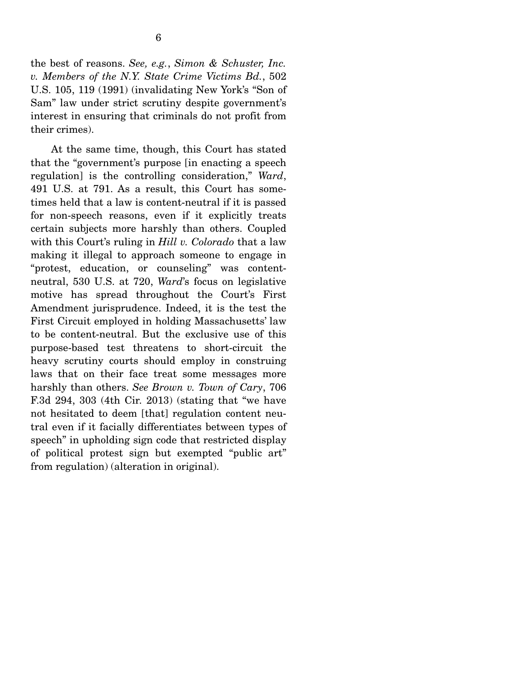the best of reasons. *See, e.g.*, *Simon & Schuster, Inc. v. Members of the N.Y. State Crime Victims Bd.*, 502 U.S. 105, 119 (1991) (invalidating New York's "Son of Sam" law under strict scrutiny despite government's interest in ensuring that criminals do not profit from their crimes).

 At the same time, though, this Court has stated that the "government's purpose [in enacting a speech regulation] is the controlling consideration," *Ward*, 491 U.S. at 791. As a result, this Court has sometimes held that a law is content-neutral if it is passed for non-speech reasons, even if it explicitly treats certain subjects more harshly than others. Coupled with this Court's ruling in *Hill v. Colorado* that a law making it illegal to approach someone to engage in "protest, education, or counseling" was contentneutral, 530 U.S. at 720, *Ward*'s focus on legislative motive has spread throughout the Court's First Amendment jurisprudence. Indeed, it is the test the First Circuit employed in holding Massachusetts' law to be content-neutral. But the exclusive use of this purpose-based test threatens to short-circuit the heavy scrutiny courts should employ in construing laws that on their face treat some messages more harshly than others. *See Brown v. Town of Cary*, 706 F.3d 294, 303 (4th Cir. 2013) (stating that "we have not hesitated to deem [that] regulation content neutral even if it facially differentiates between types of speech" in upholding sign code that restricted display of political protest sign but exempted "public art" from regulation) (alteration in original).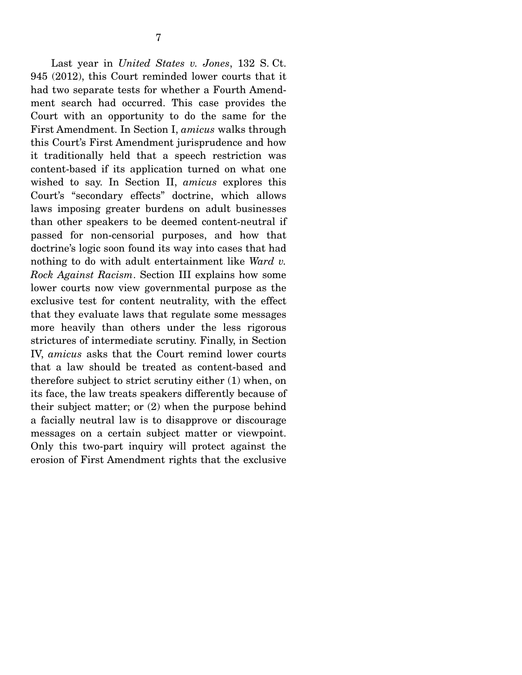Last year in *United States v. Jones*, 132 S. Ct. 945 (2012), this Court reminded lower courts that it had two separate tests for whether a Fourth Amendment search had occurred. This case provides the Court with an opportunity to do the same for the First Amendment. In Section I, *amicus* walks through this Court's First Amendment jurisprudence and how it traditionally held that a speech restriction was content-based if its application turned on what one wished to say. In Section II, *amicus* explores this Court's "secondary effects" doctrine, which allows laws imposing greater burdens on adult businesses than other speakers to be deemed content-neutral if passed for non-censorial purposes, and how that doctrine's logic soon found its way into cases that had nothing to do with adult entertainment like *Ward v. Rock Against Racism*. Section III explains how some lower courts now view governmental purpose as the exclusive test for content neutrality, with the effect that they evaluate laws that regulate some messages more heavily than others under the less rigorous strictures of intermediate scrutiny. Finally, in Section IV, *amicus* asks that the Court remind lower courts that a law should be treated as content-based and therefore subject to strict scrutiny either (1) when, on its face, the law treats speakers differently because of their subject matter; or (2) when the purpose behind a facially neutral law is to disapprove or discourage messages on a certain subject matter or viewpoint. Only this two-part inquiry will protect against the erosion of First Amendment rights that the exclusive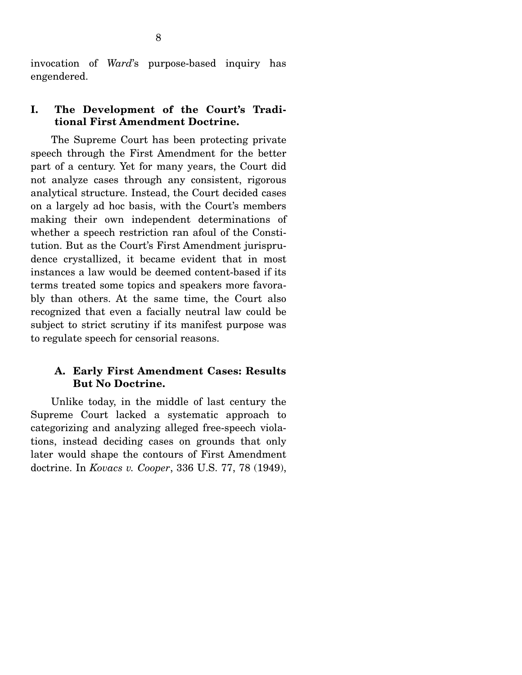invocation of *Ward*'s purpose-based inquiry has engendered.

### **I. The Development of the Court's Traditional First Amendment Doctrine.**

The Supreme Court has been protecting private speech through the First Amendment for the better part of a century. Yet for many years, the Court did not analyze cases through any consistent, rigorous analytical structure. Instead, the Court decided cases on a largely ad hoc basis, with the Court's members making their own independent determinations of whether a speech restriction ran afoul of the Constitution. But as the Court's First Amendment jurisprudence crystallized, it became evident that in most instances a law would be deemed content-based if its terms treated some topics and speakers more favorably than others. At the same time, the Court also recognized that even a facially neutral law could be subject to strict scrutiny if its manifest purpose was to regulate speech for censorial reasons.

#### **A. Early First Amendment Cases: Results But No Doctrine.**

Unlike today, in the middle of last century the Supreme Court lacked a systematic approach to categorizing and analyzing alleged free-speech violations, instead deciding cases on grounds that only later would shape the contours of First Amendment doctrine. In *Kovacs v. Cooper*, 336 U.S. 77, 78 (1949),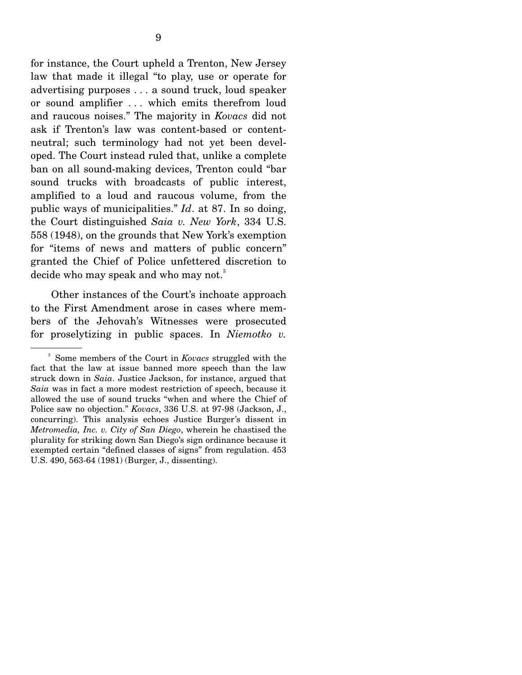for instance, the Court upheld a Trenton, New Jersey law that made it illegal "to play, use or operate for advertising purposes . . . a sound truck, loud speaker or sound amplifier . . . which emits therefrom loud and raucous noises." The majority in *Kovacs* did not ask if Trenton's law was content-based or contentneutral; such terminology had not yet been developed. The Court instead ruled that, unlike a complete ban on all sound-making devices, Trenton could "bar sound trucks with broadcasts of public interest, amplified to a loud and raucous volume, from the public ways of municipalities." *Id*. at 87. In so doing, the Court distinguished *Saia v. New York*, 334 U.S. 558 (1948), on the grounds that New York's exemption for "items of news and matters of public concern" granted the Chief of Police unfettered discretion to decide who may speak and who may not.<sup>3</sup>

 Other instances of the Court's inchoate approach to the First Amendment arose in cases where members of the Jehovah's Witnesses were prosecuted for proselytizing in public spaces. In *Niemotko v.* 

<sup>3</sup> Some members of the Court in *Kovacs* struggled with the fact that the law at issue banned more speech than the law struck down in *Saia*. Justice Jackson, for instance, argued that *Saia* was in fact a more modest restriction of speech, because it allowed the use of sound trucks "when and where the Chief of Police saw no objection." *Kovacs*, 336 U.S. at 97-98 (Jackson, J., concurring). This analysis echoes Justice Burger's dissent in *Metromedia, Inc. v. City of San Diego*, wherein he chastised the plurality for striking down San Diego's sign ordinance because it exempted certain "defined classes of signs" from regulation. 453 U.S. 490, 563-64 (1981) (Burger, J., dissenting).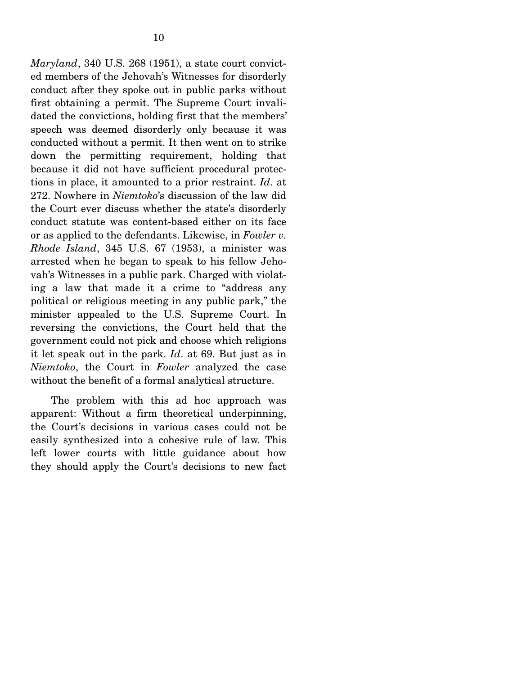*Maryland*, 340 U.S. 268 (1951), a state court convicted members of the Jehovah's Witnesses for disorderly conduct after they spoke out in public parks without first obtaining a permit. The Supreme Court invalidated the convictions, holding first that the members' speech was deemed disorderly only because it was conducted without a permit. It then went on to strike down the permitting requirement, holding that because it did not have sufficient procedural protections in place, it amounted to a prior restraint. *Id*. at 272. Nowhere in *Niemtoko*'s discussion of the law did the Court ever discuss whether the state's disorderly conduct statute was content-based either on its face or as applied to the defendants. Likewise, in *Fowler v. Rhode Island*, 345 U.S. 67 (1953), a minister was arrested when he began to speak to his fellow Jehovah's Witnesses in a public park. Charged with violating a law that made it a crime to "address any political or religious meeting in any public park," the minister appealed to the U.S. Supreme Court. In reversing the convictions, the Court held that the government could not pick and choose which religions it let speak out in the park. *Id*. at 69. But just as in *Niemtoko*, the Court in *Fowler* analyzed the case without the benefit of a formal analytical structure.

 The problem with this ad hoc approach was apparent: Without a firm theoretical underpinning, the Court's decisions in various cases could not be easily synthesized into a cohesive rule of law. This left lower courts with little guidance about how they should apply the Court's decisions to new fact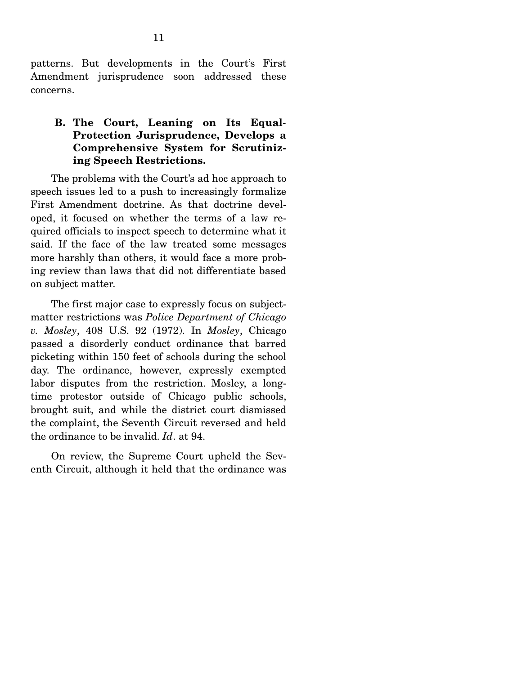patterns. But developments in the Court's First Amendment jurisprudence soon addressed these concerns.

### **B. The Court, Leaning on Its Equal-Protection Jurisprudence, Develops a Comprehensive System for Scrutinizing Speech Restrictions.**

The problems with the Court's ad hoc approach to speech issues led to a push to increasingly formalize First Amendment doctrine. As that doctrine developed, it focused on whether the terms of a law required officials to inspect speech to determine what it said. If the face of the law treated some messages more harshly than others, it would face a more probing review than laws that did not differentiate based on subject matter.

 The first major case to expressly focus on subjectmatter restrictions was *Police Department of Chicago v. Mosley*, 408 U.S. 92 (1972). In *Mosley*, Chicago passed a disorderly conduct ordinance that barred picketing within 150 feet of schools during the school day. The ordinance, however, expressly exempted labor disputes from the restriction. Mosley, a longtime protestor outside of Chicago public schools, brought suit, and while the district court dismissed the complaint, the Seventh Circuit reversed and held the ordinance to be invalid. *Id*. at 94.

 On review, the Supreme Court upheld the Seventh Circuit, although it held that the ordinance was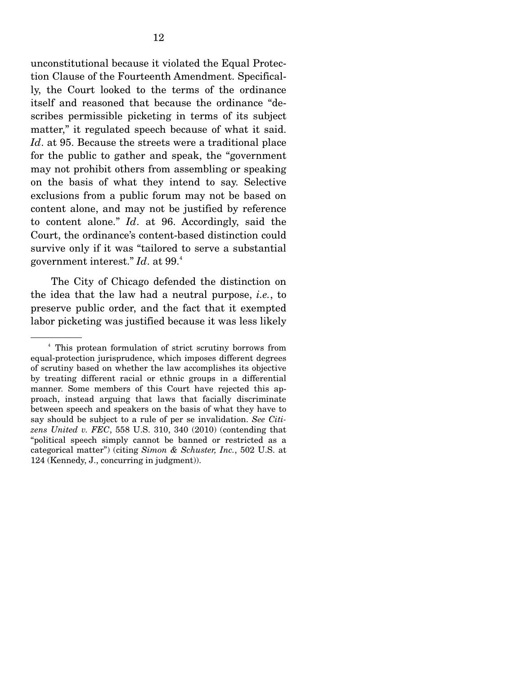unconstitutional because it violated the Equal Protection Clause of the Fourteenth Amendment. Specifically, the Court looked to the terms of the ordinance itself and reasoned that because the ordinance "describes permissible picketing in terms of its subject matter," it regulated speech because of what it said. *Id*. at 95. Because the streets were a traditional place for the public to gather and speak, the "government may not prohibit others from assembling or speaking on the basis of what they intend to say. Selective exclusions from a public forum may not be based on content alone, and may not be justified by reference to content alone." *Id*. at 96. Accordingly, said the Court, the ordinance's content-based distinction could survive only if it was "tailored to serve a substantial government interest."  $Id.$  at  $99.^4$ 

 The City of Chicago defended the distinction on the idea that the law had a neutral purpose, *i.e.*, to preserve public order, and the fact that it exempted labor picketing was justified because it was less likely

<sup>4</sup> This protean formulation of strict scrutiny borrows from equal-protection jurisprudence, which imposes different degrees of scrutiny based on whether the law accomplishes its objective by treating different racial or ethnic groups in a differential manner. Some members of this Court have rejected this approach, instead arguing that laws that facially discriminate between speech and speakers on the basis of what they have to say should be subject to a rule of per se invalidation. *See Citizens United v. FEC*, 558 U.S. 310, 340 (2010) (contending that "political speech simply cannot be banned or restricted as a categorical matter") (citing *Simon & Schuster, Inc.*, 502 U.S. at 124 (Kennedy, J., concurring in judgment)).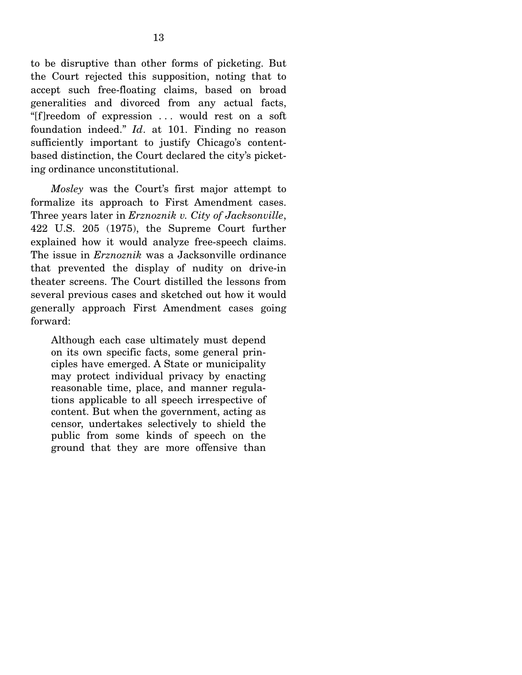to be disruptive than other forms of picketing. But the Court rejected this supposition, noting that to accept such free-floating claims, based on broad generalities and divorced from any actual facts, "[f]reedom of expression . . . would rest on a soft foundation indeed." *Id*. at 101. Finding no reason sufficiently important to justify Chicago's contentbased distinction, the Court declared the city's picketing ordinance unconstitutional.

*Mosley* was the Court's first major attempt to formalize its approach to First Amendment cases. Three years later in *Erznoznik v. City of Jacksonville*, 422 U.S. 205 (1975), the Supreme Court further explained how it would analyze free-speech claims. The issue in *Erznoznik* was a Jacksonville ordinance that prevented the display of nudity on drive-in theater screens. The Court distilled the lessons from several previous cases and sketched out how it would generally approach First Amendment cases going forward:

Although each case ultimately must depend on its own specific facts, some general principles have emerged. A State or municipality may protect individual privacy by enacting reasonable time, place, and manner regulations applicable to all speech irrespective of content. But when the government, acting as censor, undertakes selectively to shield the public from some kinds of speech on the ground that they are more offensive than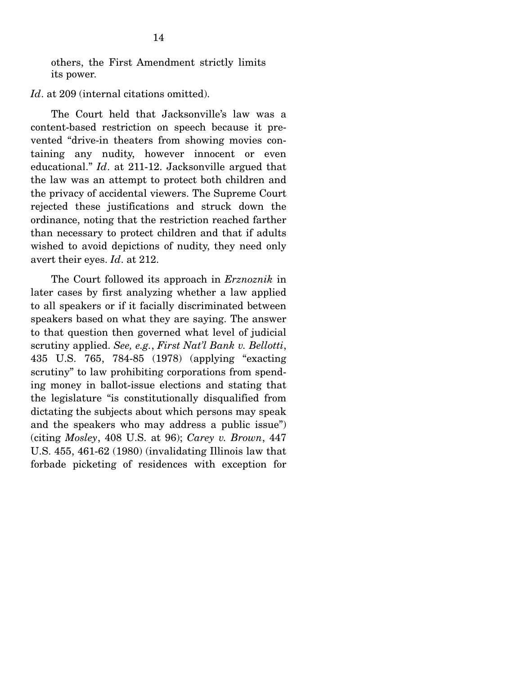others, the First Amendment strictly limits its power.

*Id.* at 209 (internal citations omitted).

 The Court held that Jacksonville's law was a content-based restriction on speech because it prevented "drive-in theaters from showing movies containing any nudity, however innocent or even educational." *Id*. at 211-12. Jacksonville argued that the law was an attempt to protect both children and the privacy of accidental viewers. The Supreme Court rejected these justifications and struck down the ordinance, noting that the restriction reached farther than necessary to protect children and that if adults wished to avoid depictions of nudity, they need only avert their eyes. *Id*. at 212.

 The Court followed its approach in *Erznoznik* in later cases by first analyzing whether a law applied to all speakers or if it facially discriminated between speakers based on what they are saying. The answer to that question then governed what level of judicial scrutiny applied. *See, e.g.*, *First Nat'l Bank v. Bellotti*, 435 U.S. 765, 784-85 (1978) (applying "exacting scrutiny" to law prohibiting corporations from spending money in ballot-issue elections and stating that the legislature "is constitutionally disqualified from dictating the subjects about which persons may speak and the speakers who may address a public issue") (citing *Mosley*, 408 U.S. at 96); *Carey v. Brown*, 447 U.S. 455, 461-62 (1980) (invalidating Illinois law that forbade picketing of residences with exception for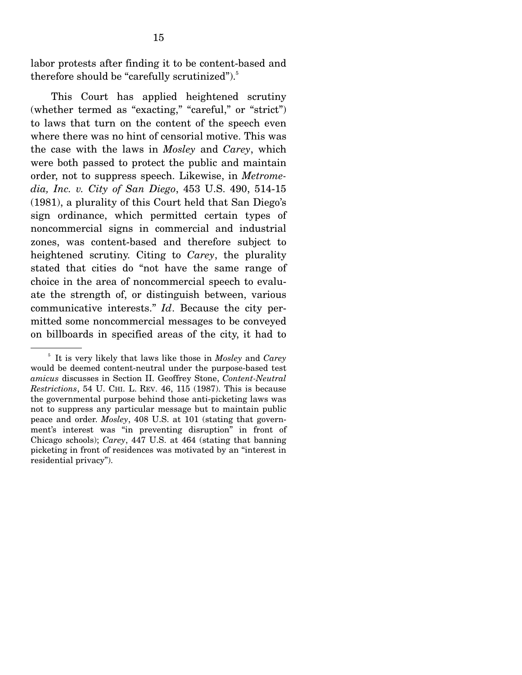labor protests after finding it to be content-based and therefore should be "carefully scrutinized").<sup>5</sup>

 This Court has applied heightened scrutiny (whether termed as "exacting," "careful," or "strict") to laws that turn on the content of the speech even where there was no hint of censorial motive. This was the case with the laws in *Mosley* and *Carey*, which were both passed to protect the public and maintain order, not to suppress speech. Likewise, in *Metromedia, Inc. v. City of San Diego*, 453 U.S. 490, 514-15 (1981), a plurality of this Court held that San Diego's sign ordinance, which permitted certain types of noncommercial signs in commercial and industrial zones, was content-based and therefore subject to heightened scrutiny. Citing to *Carey*, the plurality stated that cities do "not have the same range of choice in the area of noncommercial speech to evaluate the strength of, or distinguish between, various communicative interests." *Id*. Because the city permitted some noncommercial messages to be conveyed on billboards in specified areas of the city, it had to

<sup>5</sup> It is very likely that laws like those in *Mosley* and *Carey* would be deemed content-neutral under the purpose-based test *amicus* discusses in Section II. Geoffrey Stone, *Content-Neutral Restrictions*, 54 U. CHI. L. REV. 46, 115 (1987). This is because the governmental purpose behind those anti-picketing laws was not to suppress any particular message but to maintain public peace and order. *Mosley*, 408 U.S. at 101 (stating that government's interest was "in preventing disruption" in front of Chicago schools); *Carey*, 447 U.S. at 464 (stating that banning picketing in front of residences was motivated by an "interest in residential privacy").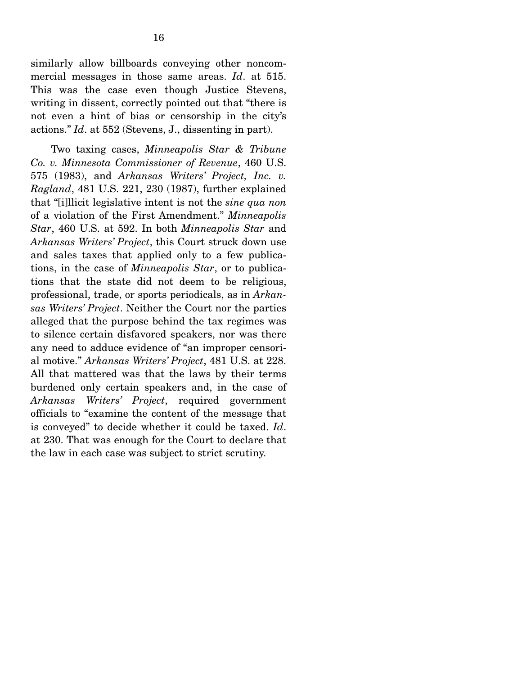similarly allow billboards conveying other noncommercial messages in those same areas. *Id*. at 515. This was the case even though Justice Stevens, writing in dissent, correctly pointed out that "there is not even a hint of bias or censorship in the city's actions." *Id*. at 552 (Stevens, J., dissenting in part).

 Two taxing cases, *Minneapolis Star & Tribune Co. v. Minnesota Commissioner of Revenue*, 460 U.S. 575 (1983), and *Arkansas Writers' Project, Inc. v. Ragland*, 481 U.S. 221, 230 (1987), further explained that "[i]llicit legislative intent is not the *sine qua non* of a violation of the First Amendment." *Minneapolis Star*, 460 U.S. at 592. In both *Minneapolis Star* and *Arkansas Writers' Project*, this Court struck down use and sales taxes that applied only to a few publications, in the case of *Minneapolis Star*, or to publications that the state did not deem to be religious, professional, trade, or sports periodicals, as in *Arkansas Writers' Project*. Neither the Court nor the parties alleged that the purpose behind the tax regimes was to silence certain disfavored speakers, nor was there any need to adduce evidence of "an improper censorial motive." *Arkansas Writers' Project*, 481 U.S. at 228. All that mattered was that the laws by their terms burdened only certain speakers and, in the case of *Arkansas Writers' Project*, required government officials to "examine the content of the message that is conveyed" to decide whether it could be taxed. *Id*. at 230. That was enough for the Court to declare that the law in each case was subject to strict scrutiny.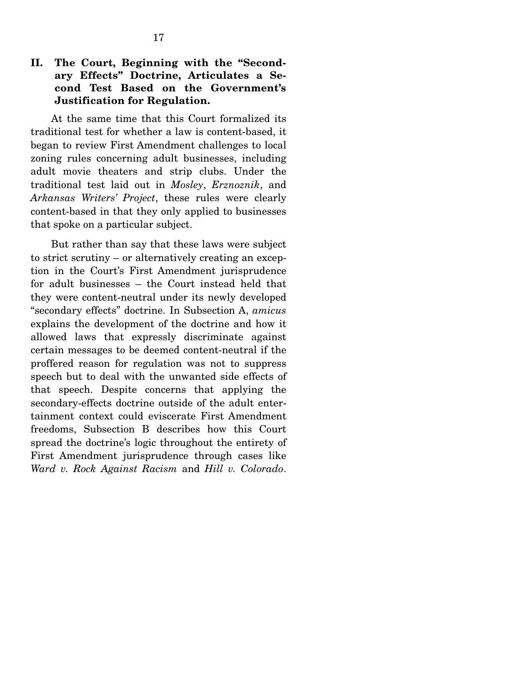### **II. The Court, Beginning with the "Secondary Effects" Doctrine, Articulates a Second Test Based on the Government's Justification for Regulation.**

At the same time that this Court formalized its traditional test for whether a law is content-based, it began to review First Amendment challenges to local zoning rules concerning adult businesses, including adult movie theaters and strip clubs. Under the traditional test laid out in *Mosley*, *Erznoznik*, and *Arkansas Writers' Project*, these rules were clearly content-based in that they only applied to businesses that spoke on a particular subject.

 But rather than say that these laws were subject to strict scrutiny – or alternatively creating an exception in the Court's First Amendment jurisprudence for adult businesses – the Court instead held that they were content-neutral under its newly developed "secondary effects" doctrine. In Subsection A, *amicus* explains the development of the doctrine and how it allowed laws that expressly discriminate against certain messages to be deemed content-neutral if the proffered reason for regulation was not to suppress speech but to deal with the unwanted side effects of that speech. Despite concerns that applying the secondary-effects doctrine outside of the adult entertainment context could eviscerate First Amendment freedoms, Subsection B describes how this Court spread the doctrine's logic throughout the entirety of First Amendment jurisprudence through cases like *Ward v. Rock Against Racism* and *Hill v. Colorado*.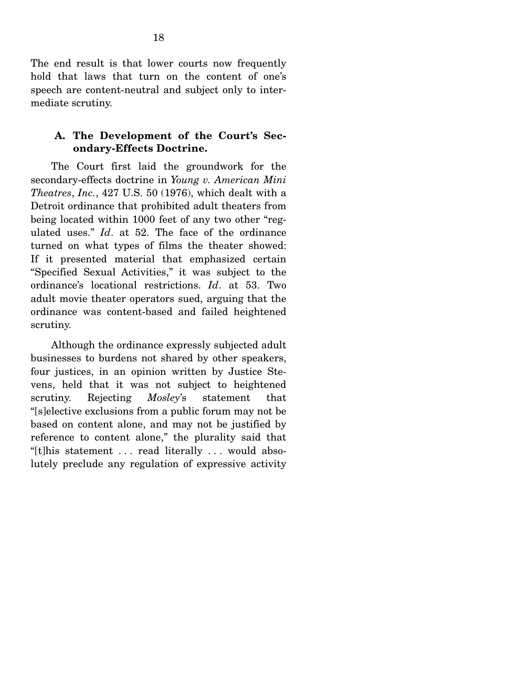The end result is that lower courts now frequently hold that laws that turn on the content of one's speech are content-neutral and subject only to intermediate scrutiny.

#### **A. The Development of the Court's Secondary-Effects Doctrine.**

The Court first laid the groundwork for the secondary-effects doctrine in *Young v. American Mini Theatres*, *Inc.*, 427 U.S. 50 (1976), which dealt with a Detroit ordinance that prohibited adult theaters from being located within 1000 feet of any two other "regulated uses." *Id*. at 52. The face of the ordinance turned on what types of films the theater showed: If it presented material that emphasized certain "Specified Sexual Activities," it was subject to the ordinance's locational restrictions. *Id*. at 53. Two adult movie theater operators sued, arguing that the ordinance was content-based and failed heightened scrutiny.

 Although the ordinance expressly subjected adult businesses to burdens not shared by other speakers, four justices, in an opinion written by Justice Stevens, held that it was not subject to heightened scrutiny. Rejecting *Mosley*'s statement that "[s]elective exclusions from a public forum may not be based on content alone, and may not be justified by reference to content alone," the plurality said that "[t]his statement . . . read literally . . . would absolutely preclude any regulation of expressive activity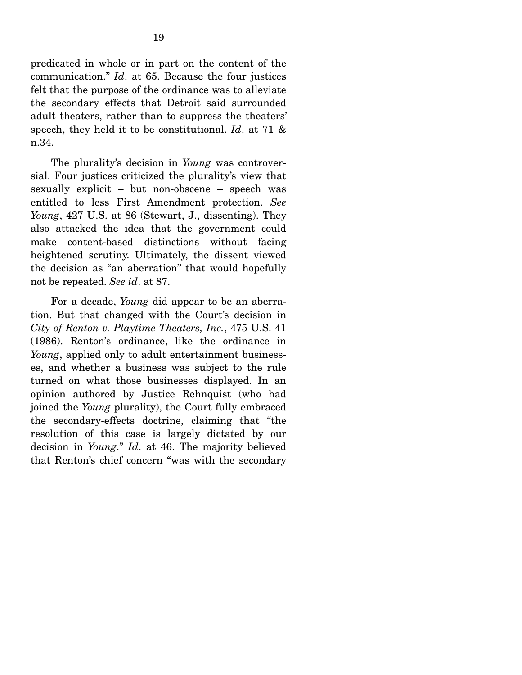predicated in whole or in part on the content of the communication." *Id*. at 65. Because the four justices felt that the purpose of the ordinance was to alleviate the secondary effects that Detroit said surrounded adult theaters, rather than to suppress the theaters' speech, they held it to be constitutional. *Id*. at 71 & n.34.

 The plurality's decision in *Young* was controversial. Four justices criticized the plurality's view that sexually explicit – but non-obscene – speech was entitled to less First Amendment protection. *See Young*, 427 U.S. at 86 (Stewart, J., dissenting). They also attacked the idea that the government could make content-based distinctions without facing heightened scrutiny. Ultimately, the dissent viewed the decision as "an aberration" that would hopefully not be repeated. *See id*. at 87.

 For a decade, *Young* did appear to be an aberration. But that changed with the Court's decision in *City of Renton v. Playtime Theaters, Inc.*, 475 U.S. 41 (1986). Renton's ordinance, like the ordinance in *Young*, applied only to adult entertainment businesses, and whether a business was subject to the rule turned on what those businesses displayed. In an opinion authored by Justice Rehnquist (who had joined the *Young* plurality), the Court fully embraced the secondary-effects doctrine, claiming that "the resolution of this case is largely dictated by our decision in *Young*." *Id*. at 46. The majority believed that Renton's chief concern "was with the secondary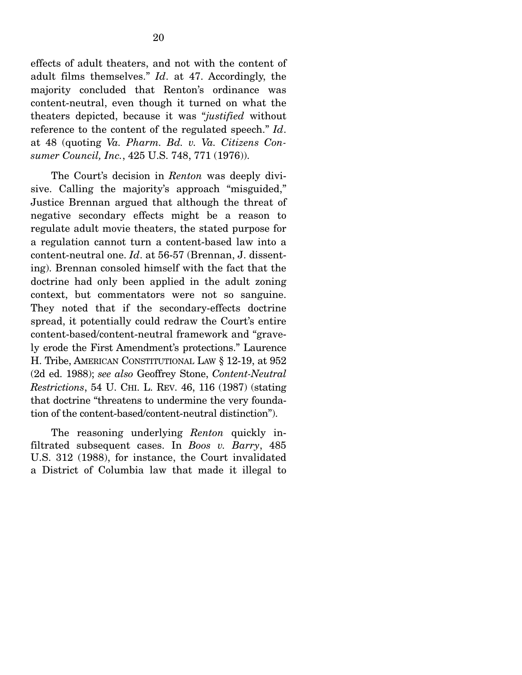effects of adult theaters, and not with the content of adult films themselves." *Id*. at 47. Accordingly, the majority concluded that Renton's ordinance was content-neutral, even though it turned on what the theaters depicted, because it was "*justified* without reference to the content of the regulated speech." *Id*. at 48 (quoting *Va. Pharm. Bd. v. Va. Citizens Consumer Council, Inc.*, 425 U.S. 748, 771 (1976)).

 The Court's decision in *Renton* was deeply divisive. Calling the majority's approach "misguided," Justice Brennan argued that although the threat of negative secondary effects might be a reason to regulate adult movie theaters, the stated purpose for a regulation cannot turn a content-based law into a content-neutral one. *Id*. at 56-57 (Brennan, J. dissenting). Brennan consoled himself with the fact that the doctrine had only been applied in the adult zoning context, but commentators were not so sanguine. They noted that if the secondary-effects doctrine spread, it potentially could redraw the Court's entire content-based/content-neutral framework and "gravely erode the First Amendment's protections." Laurence H. Tribe, AMERICAN CONSTITUTIONAL LAW § 12-19, at 952 (2d ed. 1988); *see also* Geoffrey Stone, *Content-Neutral Restrictions*, 54 U. CHI. L. REV. 46, 116 (1987) (stating that doctrine "threatens to undermine the very foundation of the content-based/content-neutral distinction").

 The reasoning underlying *Renton* quickly infiltrated subsequent cases. In *Boos v. Barry*, 485 U.S. 312 (1988), for instance, the Court invalidated a District of Columbia law that made it illegal to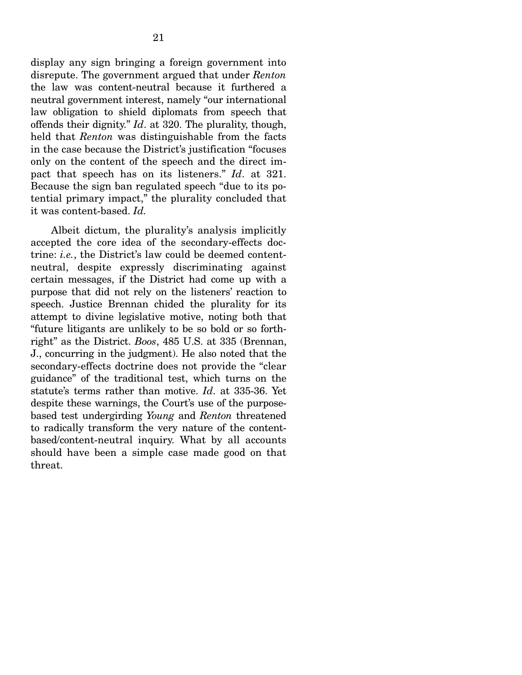display any sign bringing a foreign government into disrepute. The government argued that under *Renton* the law was content-neutral because it furthered a neutral government interest, namely "our international law obligation to shield diplomats from speech that offends their dignity." *Id*. at 320. The plurality, though, held that *Renton* was distinguishable from the facts in the case because the District's justification "focuses only on the content of the speech and the direct impact that speech has on its listeners." *Id*. at 321. Because the sign ban regulated speech "due to its potential primary impact," the plurality concluded that it was content-based. *Id.*

 Albeit dictum, the plurality's analysis implicitly accepted the core idea of the secondary-effects doctrine: *i.e.*, the District's law could be deemed contentneutral, despite expressly discriminating against certain messages, if the District had come up with a purpose that did not rely on the listeners' reaction to speech. Justice Brennan chided the plurality for its attempt to divine legislative motive, noting both that "future litigants are unlikely to be so bold or so forthright" as the District. *Boos*, 485 U.S. at 335 (Brennan, J., concurring in the judgment). He also noted that the secondary-effects doctrine does not provide the "clear guidance" of the traditional test, which turns on the statute's terms rather than motive. *Id*. at 335-36. Yet despite these warnings, the Court's use of the purposebased test undergirding *Young* and *Renton* threatened to radically transform the very nature of the contentbased/content-neutral inquiry. What by all accounts should have been a simple case made good on that threat.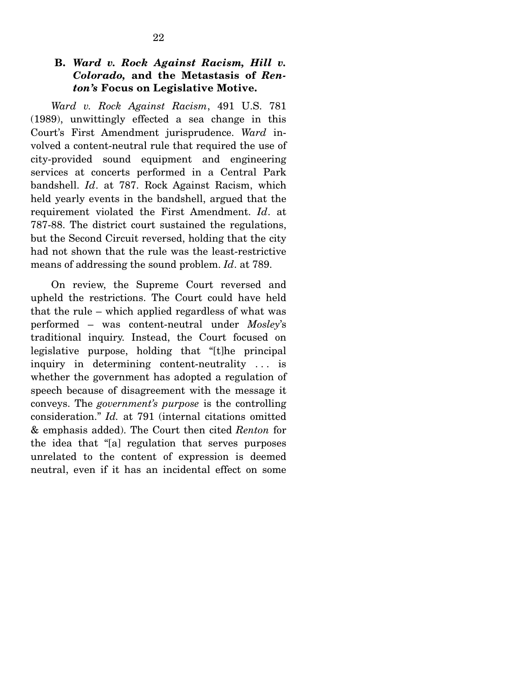#### **B.** *Ward v. Rock Against Racism, Hill v. Colorado,* **and the Metastasis of** *Renton's* **Focus on Legislative Motive.**

*Ward v. Rock Against Racism*, 491 U.S. 781 (1989), unwittingly effected a sea change in this Court's First Amendment jurisprudence. *Ward* involved a content-neutral rule that required the use of city-provided sound equipment and engineering services at concerts performed in a Central Park bandshell. *Id*. at 787. Rock Against Racism, which held yearly events in the bandshell, argued that the requirement violated the First Amendment. *Id*. at 787-88. The district court sustained the regulations, but the Second Circuit reversed, holding that the city had not shown that the rule was the least-restrictive means of addressing the sound problem. *Id*. at 789.

 On review, the Supreme Court reversed and upheld the restrictions. The Court could have held that the rule – which applied regardless of what was performed – was content-neutral under *Mosley*'s traditional inquiry. Instead, the Court focused on legislative purpose, holding that "[t]he principal inquiry in determining content-neutrality . . . is whether the government has adopted a regulation of speech because of disagreement with the message it conveys. The *government's purpose* is the controlling consideration." *Id.* at 791 (internal citations omitted & emphasis added). The Court then cited *Renton* for the idea that "[a] regulation that serves purposes unrelated to the content of expression is deemed neutral, even if it has an incidental effect on some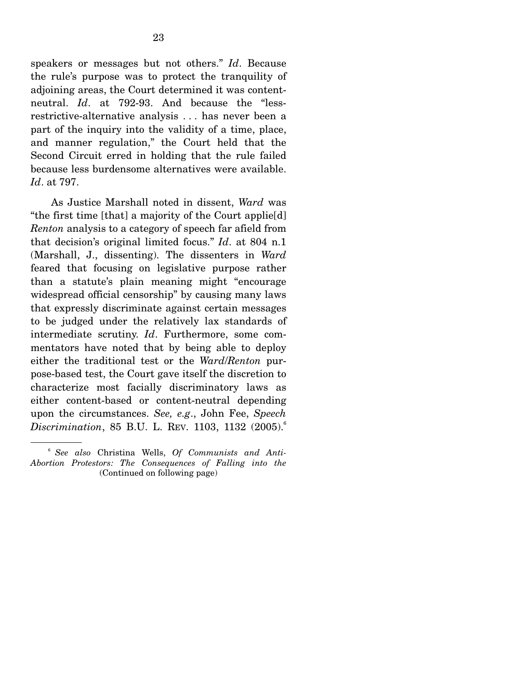speakers or messages but not others." *Id*. Because the rule's purpose was to protect the tranquility of adjoining areas, the Court determined it was contentneutral. *Id*. at 792-93. And because the "lessrestrictive-alternative analysis . . . has never been a part of the inquiry into the validity of a time, place, and manner regulation," the Court held that the Second Circuit erred in holding that the rule failed because less burdensome alternatives were available. *Id*. at 797.

 As Justice Marshall noted in dissent, *Ward* was "the first time [that] a majority of the Court applie[d] *Renton* analysis to a category of speech far afield from that decision's original limited focus." *Id*. at 804 n.1 (Marshall, J., dissenting). The dissenters in *Ward* feared that focusing on legislative purpose rather than a statute's plain meaning might "encourage widespread official censorship" by causing many laws that expressly discriminate against certain messages to be judged under the relatively lax standards of intermediate scrutiny. *Id*. Furthermore, some commentators have noted that by being able to deploy either the traditional test or the *Ward*/*Renton* purpose-based test, the Court gave itself the discretion to characterize most facially discriminatory laws as either content-based or content-neutral depending upon the circumstances. *See, e.g*., John Fee, *Speech Discrimination*, 85 B.U. L. REV. 1103, 1132 (2005).<sup>6</sup>

<sup>6</sup> *See also* Christina Wells, *Of Communists and Anti-Abortion Protestors: The Consequences of Falling into the*  (Continued on following page)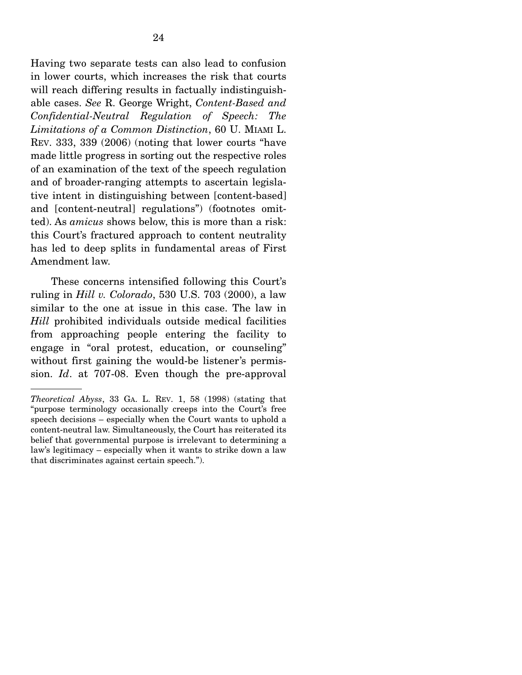Having two separate tests can also lead to confusion in lower courts, which increases the risk that courts will reach differing results in factually indistinguishable cases. *See* R. George Wright, *Content-Based and Confidential-Neutral Regulation of Speech: The Limitations of a Common Distinction*, 60 U. MIAMI L. REV. 333, 339 (2006) (noting that lower courts "have made little progress in sorting out the respective roles of an examination of the text of the speech regulation and of broader-ranging attempts to ascertain legislative intent in distinguishing between [content-based] and [content-neutral] regulations") (footnotes omitted). As *amicus* shows below, this is more than a risk: this Court's fractured approach to content neutrality has led to deep splits in fundamental areas of First Amendment law.

 These concerns intensified following this Court's ruling in *Hill v. Colorado*, 530 U.S. 703 (2000), a law similar to the one at issue in this case. The law in *Hill* prohibited individuals outside medical facilities from approaching people entering the facility to engage in "oral protest, education, or counseling" without first gaining the would-be listener's permission. *Id*. at 707-08. Even though the pre-approval

*Theoretical Abyss*, 33 GA. L. REV. 1, 58 (1998) (stating that "purpose terminology occasionally creeps into the Court's free speech decisions – especially when the Court wants to uphold a content-neutral law. Simultaneously, the Court has reiterated its belief that governmental purpose is irrelevant to determining a law's legitimacy – especially when it wants to strike down a law that discriminates against certain speech.").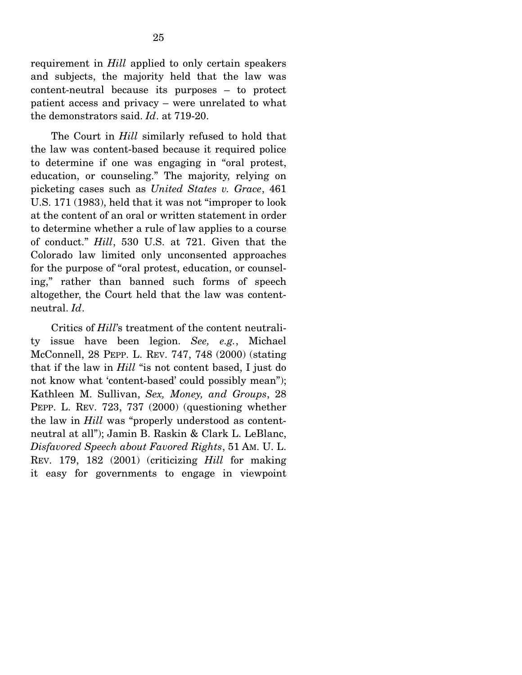requirement in *Hill* applied to only certain speakers and subjects, the majority held that the law was content-neutral because its purposes – to protect patient access and privacy – were unrelated to what the demonstrators said. *Id*. at 719-20.

 The Court in *Hill* similarly refused to hold that the law was content-based because it required police to determine if one was engaging in "oral protest, education, or counseling." The majority, relying on picketing cases such as *United States v. Grace*, 461 U.S. 171 (1983), held that it was not "improper to look at the content of an oral or written statement in order to determine whether a rule of law applies to a course of conduct." *Hill*, 530 U.S. at 721. Given that the Colorado law limited only unconsented approaches for the purpose of "oral protest, education, or counseling," rather than banned such forms of speech altogether, the Court held that the law was contentneutral. *Id*.

 Critics of *Hill*'s treatment of the content neutrality issue have been legion. *See, e.g.*, Michael McConnell, 28 PEPP. L. REV. 747, 748 (2000) (stating that if the law in *Hill* "is not content based, I just do not know what 'content-based' could possibly mean"); Kathleen M. Sullivan, *Sex, Money, and Groups*, 28 PEPP. L. REV. 723, 737 (2000) (questioning whether the law in *Hill* was "properly understood as contentneutral at all"); Jamin B. Raskin & Clark L. LeBlanc, *Disfavored Speech about Favored Rights*, 51 AM. U. L. REV. 179, 182 (2001) (criticizing *Hill* for making it easy for governments to engage in viewpoint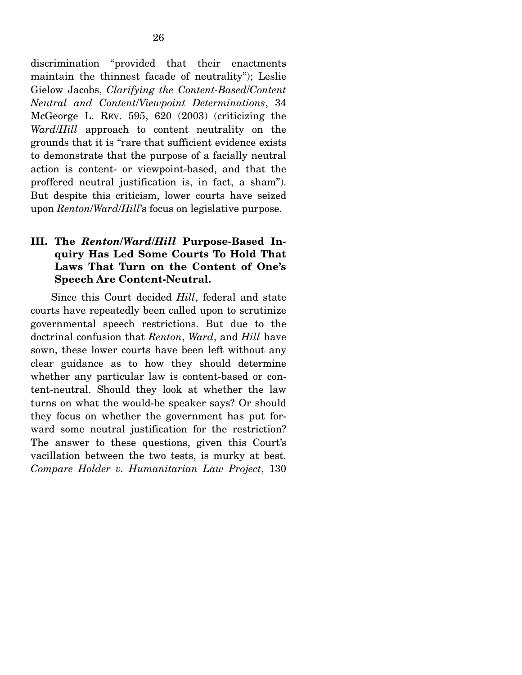discrimination "provided that their enactments maintain the thinnest facade of neutrality"); Leslie Gielow Jacobs, *Clarifying the Content-Based*/*Content Neutral and Content*/*Viewpoint Determinations*, 34 McGeorge L. REV. 595, 620 (2003) (criticizing the *Ward*/*Hill* approach to content neutrality on the grounds that it is "rare that sufficient evidence exists to demonstrate that the purpose of a facially neutral action is content- or viewpoint-based, and that the proffered neutral justification is, in fact, a sham"). But despite this criticism, lower courts have seized upon *Renton*/*Ward*/*Hill*'s focus on legislative purpose.

### **III. The** *Renton***/***Ward***/***Hill* **Purpose-Based Inquiry Has Led Some Courts To Hold That Laws That Turn on the Content of One's Speech Are Content-Neutral.**

Since this Court decided *Hill*, federal and state courts have repeatedly been called upon to scrutinize governmental speech restrictions. But due to the doctrinal confusion that *Renton*, *Ward*, and *Hill* have sown, these lower courts have been left without any clear guidance as to how they should determine whether any particular law is content-based or content-neutral. Should they look at whether the law turns on what the would-be speaker says? Or should they focus on whether the government has put forward some neutral justification for the restriction? The answer to these questions, given this Court's vacillation between the two tests, is murky at best. *Compare Holder v. Humanitarian Law Project*, 130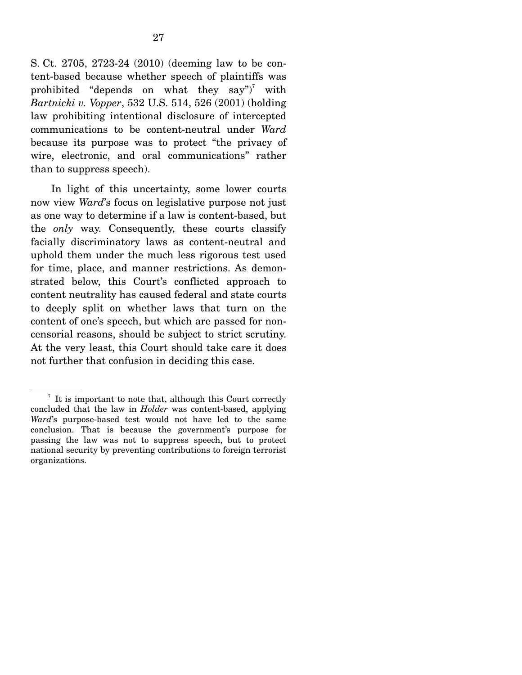S. Ct. 2705, 2723-24 (2010) (deeming law to be content-based because whether speech of plaintiffs was prohibited "depends on what they say")<sup>7</sup> with *Bartnicki v. Vopper*, 532 U.S. 514, 526 (2001) (holding law prohibiting intentional disclosure of intercepted communications to be content-neutral under *Ward* because its purpose was to protect "the privacy of wire, electronic, and oral communications" rather than to suppress speech).

 In light of this uncertainty, some lower courts now view *Ward*'s focus on legislative purpose not just as one way to determine if a law is content-based, but the *only* way. Consequently, these courts classify facially discriminatory laws as content-neutral and uphold them under the much less rigorous test used for time, place, and manner restrictions. As demonstrated below, this Court's conflicted approach to content neutrality has caused federal and state courts to deeply split on whether laws that turn on the content of one's speech, but which are passed for noncensorial reasons, should be subject to strict scrutiny. At the very least, this Court should take care it does not further that confusion in deciding this case.

 $\frac{7}{1}$  It is important to note that, although this Court correctly concluded that the law in *Holder* was content-based, applying *Ward*'s purpose-based test would not have led to the same conclusion. That is because the government's purpose for passing the law was not to suppress speech, but to protect national security by preventing contributions to foreign terrorist organizations.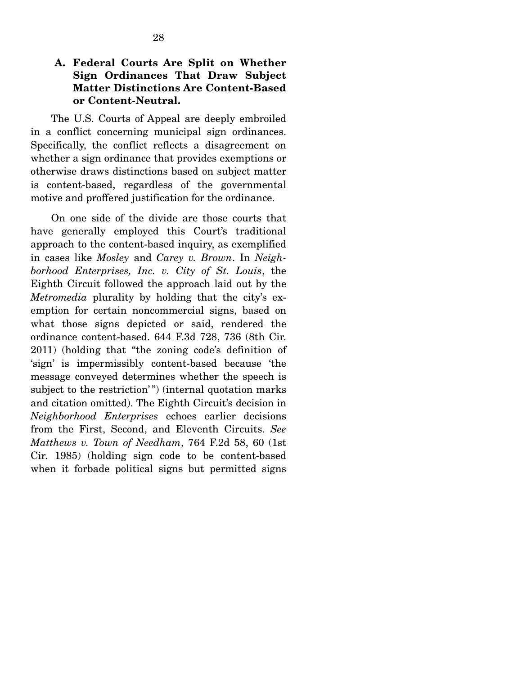#### **A. Federal Courts Are Split on Whether Sign Ordinances That Draw Subject Matter Distinctions Are Content-Based or Content-Neutral.**

The U.S. Courts of Appeal are deeply embroiled in a conflict concerning municipal sign ordinances. Specifically, the conflict reflects a disagreement on whether a sign ordinance that provides exemptions or otherwise draws distinctions based on subject matter is content-based, regardless of the governmental motive and proffered justification for the ordinance.

 On one side of the divide are those courts that have generally employed this Court's traditional approach to the content-based inquiry, as exemplified in cases like *Mosley* and *Carey v. Brown*. In *Neighborhood Enterprises, Inc. v. City of St. Louis*, the Eighth Circuit followed the approach laid out by the *Metromedia* plurality by holding that the city's exemption for certain noncommercial signs, based on what those signs depicted or said, rendered the ordinance content-based. 644 F.3d 728, 736 (8th Cir. 2011) (holding that "the zoning code's definition of 'sign' is impermissibly content-based because 'the message conveyed determines whether the speech is subject to the restriction'") (internal quotation marks and citation omitted). The Eighth Circuit's decision in *Neighborhood Enterprises* echoes earlier decisions from the First, Second, and Eleventh Circuits. *See Matthews v. Town of Needham*, 764 F.2d 58, 60 (1st Cir. 1985) (holding sign code to be content-based when it forbade political signs but permitted signs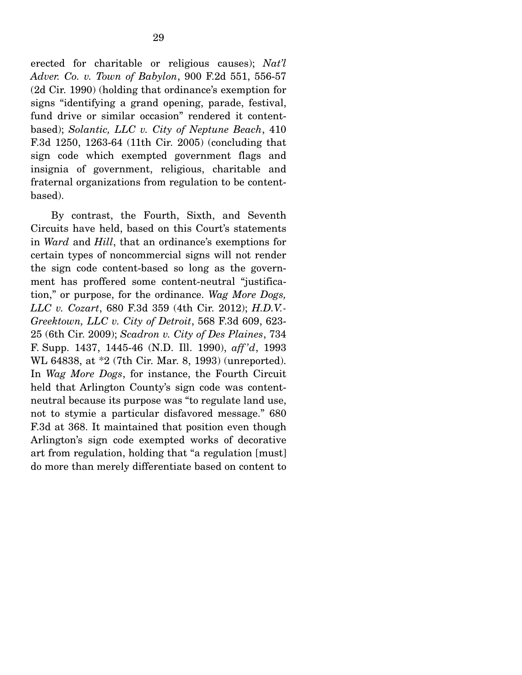erected for charitable or religious causes); *Nat'l Adver. Co. v. Town of Babylon*, 900 F.2d 551, 556-57 (2d Cir. 1990) (holding that ordinance's exemption for signs "identifying a grand opening, parade, festival, fund drive or similar occasion" rendered it contentbased); *Solantic, LLC v. City of Neptune Beach*, 410 F.3d 1250, 1263-64 (11th Cir. 2005) (concluding that sign code which exempted government flags and insignia of government, religious, charitable and fraternal organizations from regulation to be contentbased).

 By contrast, the Fourth, Sixth, and Seventh Circuits have held, based on this Court's statements in *Ward* and *Hill*, that an ordinance's exemptions for certain types of noncommercial signs will not render the sign code content-based so long as the government has proffered some content-neutral "justification," or purpose, for the ordinance. *Wag More Dogs, LLC v. Cozart*, 680 F.3d 359 (4th Cir. 2012); *H.D.V.- Greektown, LLC v. City of Detroit*, 568 F.3d 609, 623- 25 (6th Cir. 2009); *Scadron v. City of Des Plaines*, 734 F. Supp. 1437, 1445-46 (N.D. Ill. 1990), *aff 'd*, 1993 WL 64838, at \*2 (7th Cir. Mar. 8, 1993) (unreported). In *Wag More Dogs*, for instance, the Fourth Circuit held that Arlington County's sign code was contentneutral because its purpose was "to regulate land use, not to stymie a particular disfavored message." 680 F.3d at 368. It maintained that position even though Arlington's sign code exempted works of decorative art from regulation, holding that "a regulation [must] do more than merely differentiate based on content to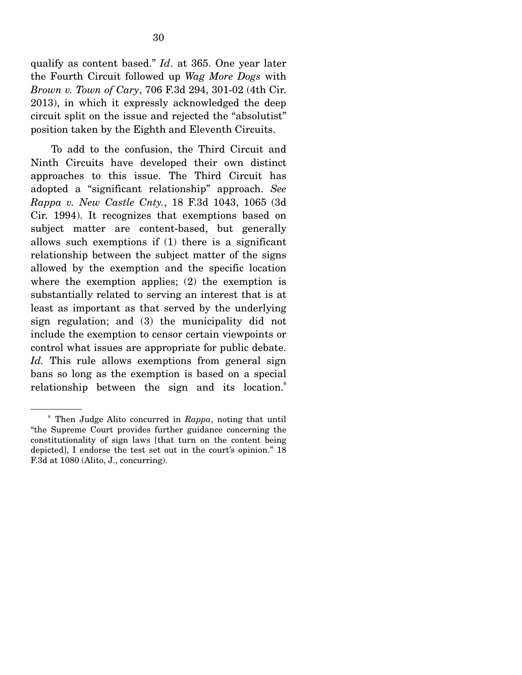qualify as content based." *Id*. at 365. One year later the Fourth Circuit followed up *Wag More Dogs* with *Brown v. Town of Cary*, 706 F.3d 294, 301-02 (4th Cir. 2013), in which it expressly acknowledged the deep circuit split on the issue and rejected the "absolutist" position taken by the Eighth and Eleventh Circuits.

 To add to the confusion, the Third Circuit and Ninth Circuits have developed their own distinct approaches to this issue. The Third Circuit has adopted a "significant relationship" approach. *See Rappa v. New Castle Cnty.*, 18 F.3d 1043, 1065 (3d Cir. 1994). It recognizes that exemptions based on subject matter are content-based, but generally allows such exemptions if (1) there is a significant relationship between the subject matter of the signs allowed by the exemption and the specific location where the exemption applies; (2) the exemption is substantially related to serving an interest that is at least as important as that served by the underlying sign regulation; and (3) the municipality did not include the exemption to censor certain viewpoints or control what issues are appropriate for public debate. *Id.* This rule allows exemptions from general sign bans so long as the exemption is based on a special relationship between the sign and its location.<sup>8</sup>

<sup>8</sup> Then Judge Alito concurred in *Rappa*, noting that until "the Supreme Court provides further guidance concerning the constitutionality of sign laws [that turn on the content being depicted], I endorse the test set out in the court's opinion." 18 F.3d at 1080 (Alito, J., concurring).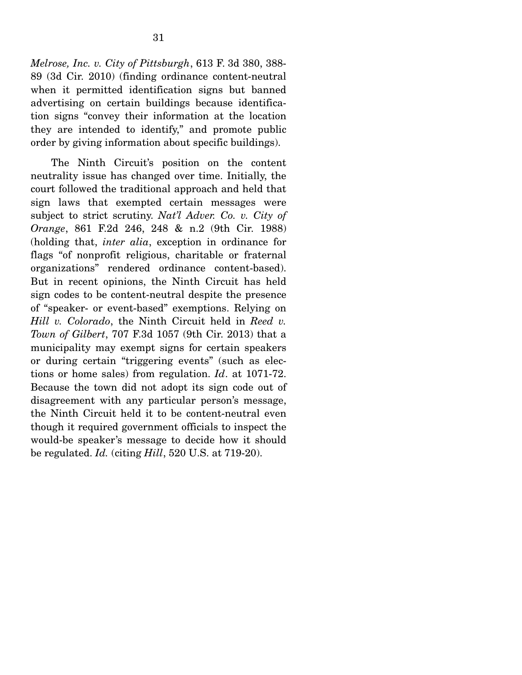*Melrose, Inc. v. City of Pittsburgh*, 613 F. 3d 380, 388- 89 (3d Cir. 2010) (finding ordinance content-neutral when it permitted identification signs but banned advertising on certain buildings because identification signs "convey their information at the location they are intended to identify," and promote public order by giving information about specific buildings).

 The Ninth Circuit's position on the content neutrality issue has changed over time. Initially, the court followed the traditional approach and held that sign laws that exempted certain messages were subject to strict scrutiny. *Nat'l Adver. Co. v. City of Orange*, 861 F.2d 246, 248 & n.2 (9th Cir. 1988) (holding that, *inter alia*, exception in ordinance for flags "of nonprofit religious, charitable or fraternal organizations" rendered ordinance content-based). But in recent opinions, the Ninth Circuit has held sign codes to be content-neutral despite the presence of "speaker- or event-based" exemptions. Relying on *Hill v. Colorado*, the Ninth Circuit held in *Reed v. Town of Gilbert*, 707 F.3d 1057 (9th Cir. 2013) that a municipality may exempt signs for certain speakers or during certain "triggering events" (such as elections or home sales) from regulation. *Id*. at 1071-72. Because the town did not adopt its sign code out of disagreement with any particular person's message, the Ninth Circuit held it to be content-neutral even though it required government officials to inspect the would-be speaker's message to decide how it should be regulated. *Id.* (citing *Hill*, 520 U.S. at 719-20).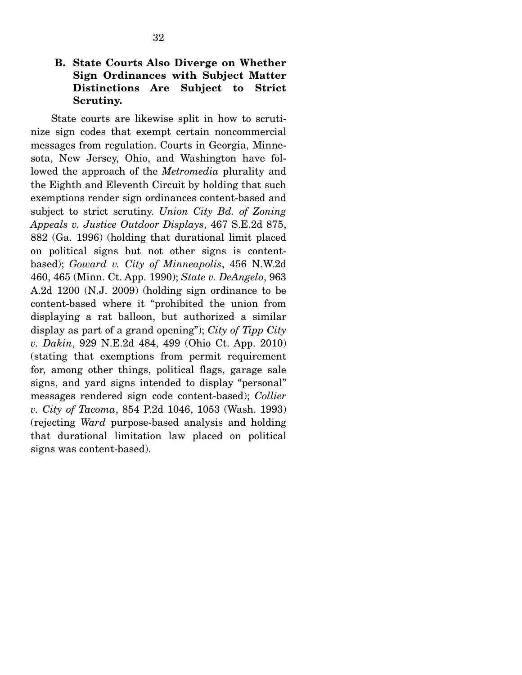### **B. State Courts Also Diverge on Whether Sign Ordinances with Subject Matter Distinctions Are Subject to Strict Scrutiny.**

State courts are likewise split in how to scrutinize sign codes that exempt certain noncommercial messages from regulation. Courts in Georgia, Minnesota, New Jersey, Ohio, and Washington have followed the approach of the *Metromedia* plurality and the Eighth and Eleventh Circuit by holding that such exemptions render sign ordinances content-based and subject to strict scrutiny. *Union City Bd. of Zoning Appeals v. Justice Outdoor Displays*, 467 S.E.2d 875, 882 (Ga. 1996) (holding that durational limit placed on political signs but not other signs is contentbased); *Goward v. City of Minneapolis*, 456 N.W.2d 460, 465 (Minn. Ct. App. 1990); *State v. DeAngelo*, 963 A.2d 1200 (N.J. 2009) (holding sign ordinance to be content-based where it "prohibited the union from displaying a rat balloon, but authorized a similar display as part of a grand opening"); *City of Tipp City v. Dakin*, 929 N.E.2d 484, 499 (Ohio Ct. App. 2010) (stating that exemptions from permit requirement for, among other things, political flags, garage sale signs, and yard signs intended to display "personal" messages rendered sign code content-based); *Collier v. City of Tacoma*, 854 P.2d 1046, 1053 (Wash. 1993) (rejecting *Ward* purpose-based analysis and holding that durational limitation law placed on political signs was content-based).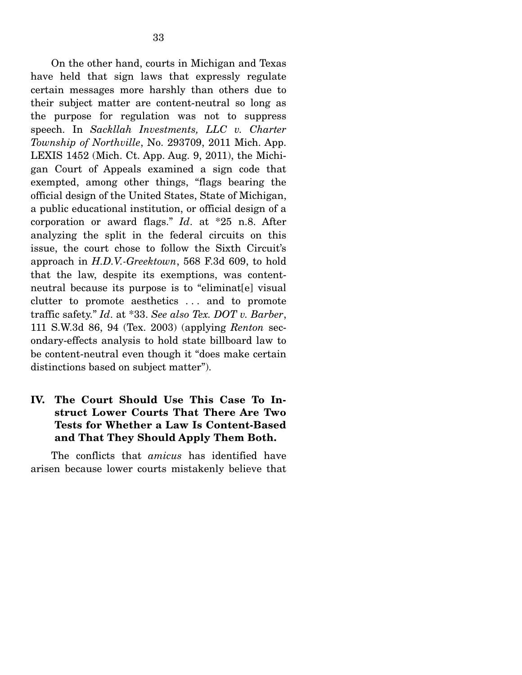On the other hand, courts in Michigan and Texas have held that sign laws that expressly regulate certain messages more harshly than others due to their subject matter are content-neutral so long as the purpose for regulation was not to suppress speech. In *Sackllah Investments, LLC v. Charter Township of Northville*, No. 293709, 2011 Mich. App. LEXIS 1452 (Mich. Ct. App. Aug. 9, 2011), the Michigan Court of Appeals examined a sign code that exempted, among other things, "flags bearing the official design of the United States, State of Michigan, a public educational institution, or official design of a corporation or award flags." *Id*. at \*25 n.8. After analyzing the split in the federal circuits on this issue, the court chose to follow the Sixth Circuit's approach in *H.D.V.-Greektown*, 568 F.3d 609, to hold that the law, despite its exemptions, was contentneutral because its purpose is to "eliminat[e] visual clutter to promote aesthetics . . . and to promote traffic safety." *Id*. at \*33. *See also Tex. DOT v. Barber*, 111 S.W.3d 86, 94 (Tex. 2003) (applying *Renton* secondary-effects analysis to hold state billboard law to be content-neutral even though it "does make certain distinctions based on subject matter").

### **IV. The Court Should Use This Case To Instruct Lower Courts That There Are Two Tests for Whether a Law Is Content-Based and That They Should Apply Them Both.**

The conflicts that *amicus* has identified have arisen because lower courts mistakenly believe that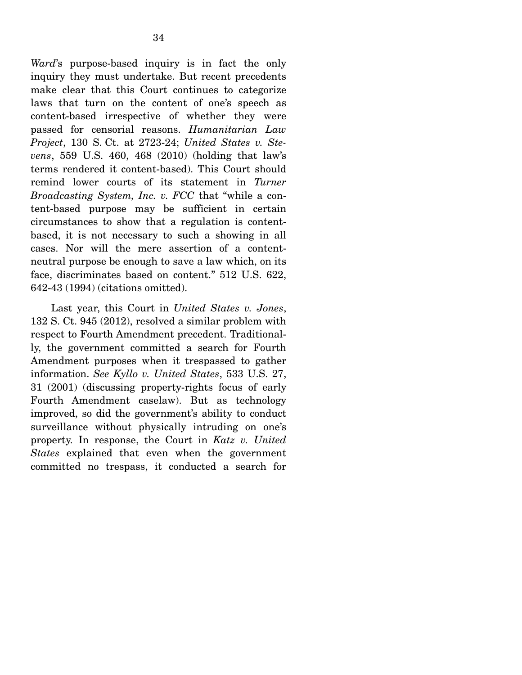*Ward*'s purpose-based inquiry is in fact the only inquiry they must undertake. But recent precedents make clear that this Court continues to categorize laws that turn on the content of one's speech as content-based irrespective of whether they were passed for censorial reasons. *Humanitarian Law Project*, 130 S. Ct. at 2723-24; *United States v. Stevens*, 559 U.S. 460, 468 (2010) (holding that law's terms rendered it content-based). This Court should remind lower courts of its statement in *Turner Broadcasting System, Inc. v. FCC* that "while a content-based purpose may be sufficient in certain circumstances to show that a regulation is contentbased, it is not necessary to such a showing in all cases. Nor will the mere assertion of a contentneutral purpose be enough to save a law which, on its face, discriminates based on content." 512 U.S. 622, 642-43 (1994) (citations omitted).

 Last year, this Court in *United States v. Jones*, 132 S. Ct. 945 (2012), resolved a similar problem with respect to Fourth Amendment precedent. Traditionally, the government committed a search for Fourth Amendment purposes when it trespassed to gather information. *See Kyllo v. United States*, 533 U.S. 27, 31 (2001) (discussing property-rights focus of early Fourth Amendment caselaw). But as technology improved, so did the government's ability to conduct surveillance without physically intruding on one's property. In response, the Court in *Katz v. United States* explained that even when the government committed no trespass, it conducted a search for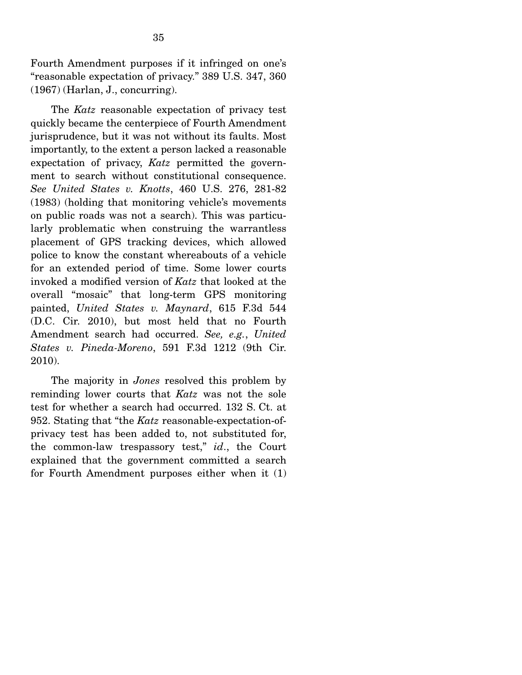Fourth Amendment purposes if it infringed on one's "reasonable expectation of privacy." 389 U.S. 347, 360 (1967) (Harlan, J., concurring).

 The *Katz* reasonable expectation of privacy test quickly became the centerpiece of Fourth Amendment jurisprudence, but it was not without its faults. Most importantly, to the extent a person lacked a reasonable expectation of privacy, *Katz* permitted the government to search without constitutional consequence. *See United States v. Knotts*, 460 U.S. 276, 281-82 (1983) (holding that monitoring vehicle's movements on public roads was not a search). This was particularly problematic when construing the warrantless placement of GPS tracking devices, which allowed police to know the constant whereabouts of a vehicle for an extended period of time. Some lower courts invoked a modified version of *Katz* that looked at the overall "mosaic" that long-term GPS monitoring painted, *United States v. Maynard*, 615 F.3d 544 (D.C. Cir. 2010), but most held that no Fourth Amendment search had occurred. *See, e.g.*, *United States v. Pineda-Moreno*, 591 F.3d 1212 (9th Cir. 2010).

 The majority in *Jones* resolved this problem by reminding lower courts that *Katz* was not the sole test for whether a search had occurred. 132 S. Ct. at 952. Stating that "the *Katz* reasonable-expectation-ofprivacy test has been added to, not substituted for, the common-law trespassory test," *id*., the Court explained that the government committed a search for Fourth Amendment purposes either when it (1)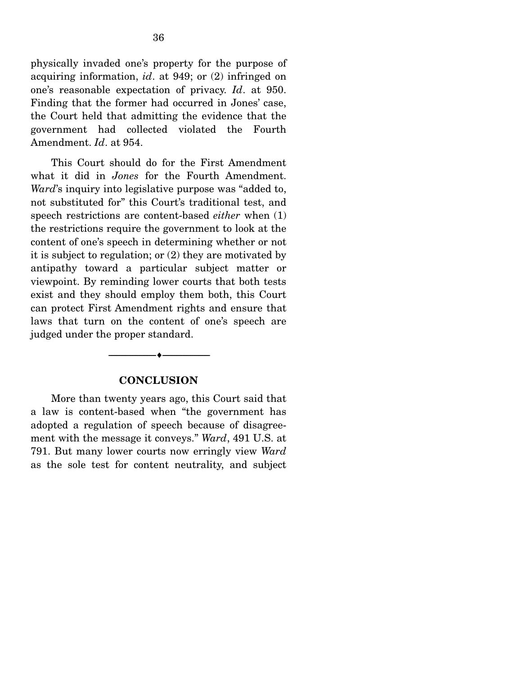physically invaded one's property for the purpose of acquiring information, *id*. at 949; or (2) infringed on one's reasonable expectation of privacy. *Id*. at 950. Finding that the former had occurred in Jones' case, the Court held that admitting the evidence that the government had collected violated the Fourth Amendment. *Id*. at 954.

 This Court should do for the First Amendment what it did in *Jones* for the Fourth Amendment. *Ward*'s inquiry into legislative purpose was "added to, not substituted for" this Court's traditional test, and speech restrictions are content-based *either* when (1) the restrictions require the government to look at the content of one's speech in determining whether or not it is subject to regulation; or (2) they are motivated by antipathy toward a particular subject matter or viewpoint. By reminding lower courts that both tests exist and they should employ them both, this Court can protect First Amendment rights and ensure that laws that turn on the content of one's speech are judged under the proper standard.

#### **CONCLUSION**

--------------------------------- ---------------------------------

 More than twenty years ago, this Court said that a law is content-based when "the government has adopted a regulation of speech because of disagreement with the message it conveys." *Ward*, 491 U.S. at 791. But many lower courts now erringly view *Ward* as the sole test for content neutrality, and subject